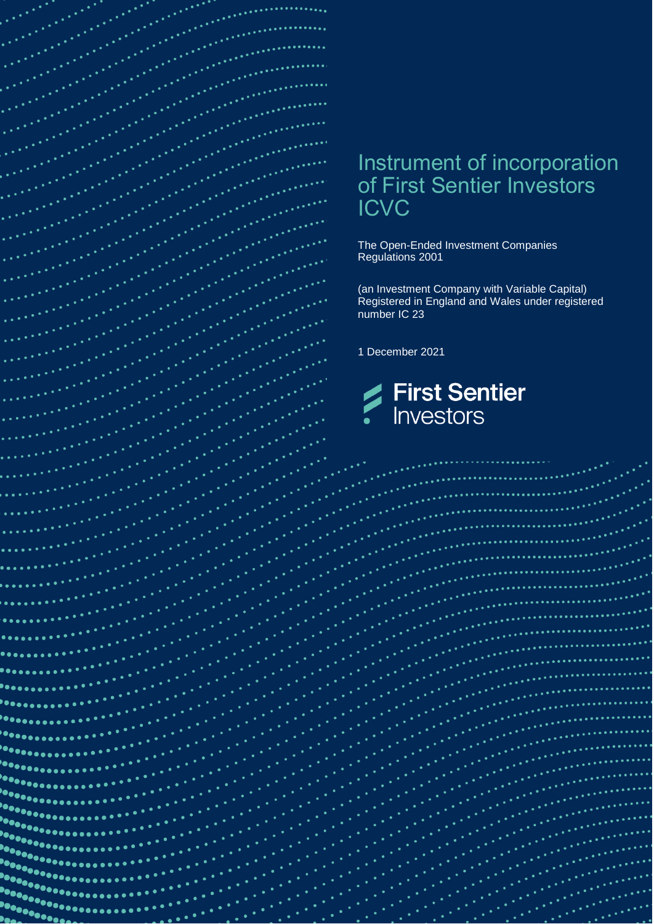

 $\bullet$   $\bullet$   $\bullet$ 

 $\bullet$ 

# Instrument of incorporation of First Sentier Investors

The Open-Ended Investment Companies Regulations 2001

(an Investment Company with Variable Capital) Registered in England and Wales under registered

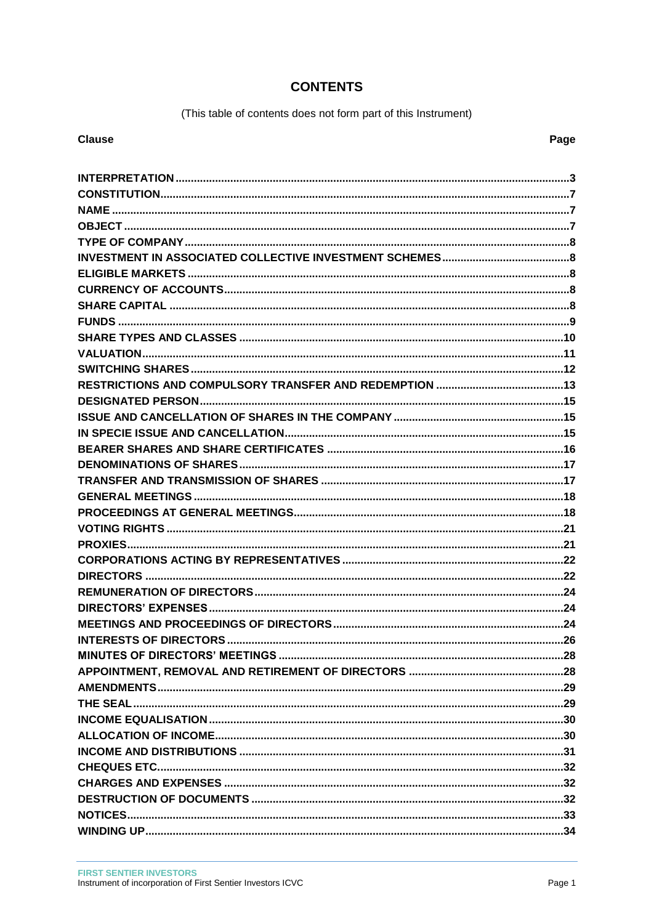### **CONTENTS**

(This table of contents does not form part of this Instrument)

#### **Clause**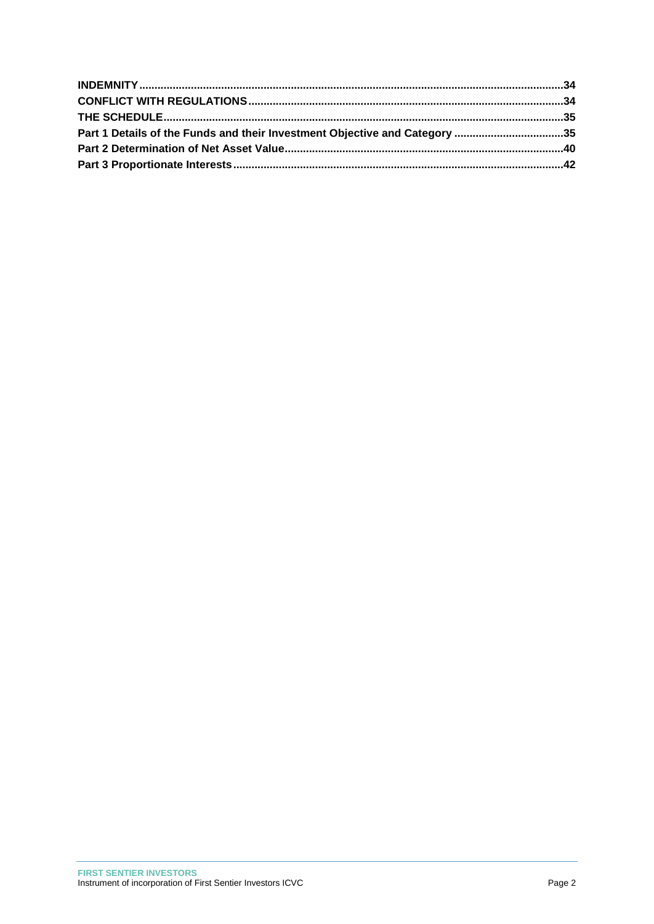| Part 1 Details of the Funds and their Investment Objective and Category 35 |  |
|----------------------------------------------------------------------------|--|
|                                                                            |  |
|                                                                            |  |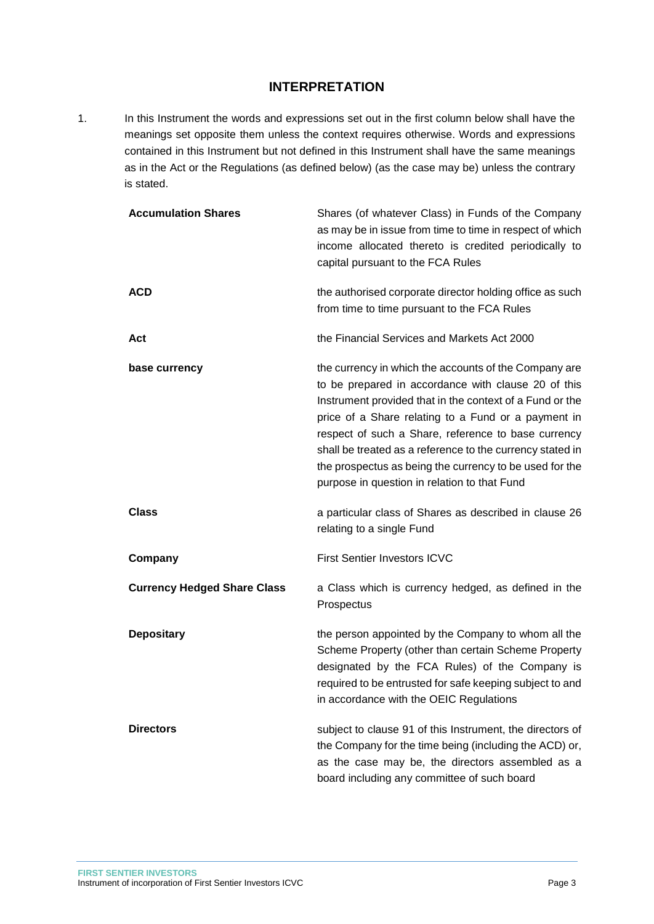### **INTERPRETATION**

<span id="page-3-0"></span>1. In this Instrument the words and expressions set out in the first column below shall have the meanings set opposite them unless the context requires otherwise. Words and expressions contained in this Instrument but not defined in this Instrument shall have the same meanings as in the Act or the Regulations (as defined below) (as the case may be) unless the contrary is stated.

| <b>Accumulation Shares</b>         | Shares (of whatever Class) in Funds of the Company<br>as may be in issue from time to time in respect of which<br>income allocated thereto is credited periodically to<br>capital pursuant to the FCA Rules                                                                                                                                                                                                                                                    |
|------------------------------------|----------------------------------------------------------------------------------------------------------------------------------------------------------------------------------------------------------------------------------------------------------------------------------------------------------------------------------------------------------------------------------------------------------------------------------------------------------------|
| <b>ACD</b>                         | the authorised corporate director holding office as such<br>from time to time pursuant to the FCA Rules                                                                                                                                                                                                                                                                                                                                                        |
| Act                                | the Financial Services and Markets Act 2000                                                                                                                                                                                                                                                                                                                                                                                                                    |
| base currency                      | the currency in which the accounts of the Company are<br>to be prepared in accordance with clause 20 of this<br>Instrument provided that in the context of a Fund or the<br>price of a Share relating to a Fund or a payment in<br>respect of such a Share, reference to base currency<br>shall be treated as a reference to the currency stated in<br>the prospectus as being the currency to be used for the<br>purpose in question in relation to that Fund |
| Class                              | a particular class of Shares as described in clause 26<br>relating to a single Fund                                                                                                                                                                                                                                                                                                                                                                            |
| Company                            | <b>First Sentier Investors ICVC</b>                                                                                                                                                                                                                                                                                                                                                                                                                            |
| <b>Currency Hedged Share Class</b> | a Class which is currency hedged, as defined in the<br>Prospectus                                                                                                                                                                                                                                                                                                                                                                                              |
| <b>Depositary</b>                  | the person appointed by the Company to whom all the<br>Scheme Property (other than certain Scheme Property<br>designated by the FCA Rules) of the Company is<br>required to be entrusted for safe keeping subject to and<br>in accordance with the OEIC Regulations                                                                                                                                                                                            |
| <b>Directors</b>                   | subject to clause 91 of this Instrument, the directors of<br>the Company for the time being (including the ACD) or,<br>as the case may be, the directors assembled as a<br>board including any committee of such board                                                                                                                                                                                                                                         |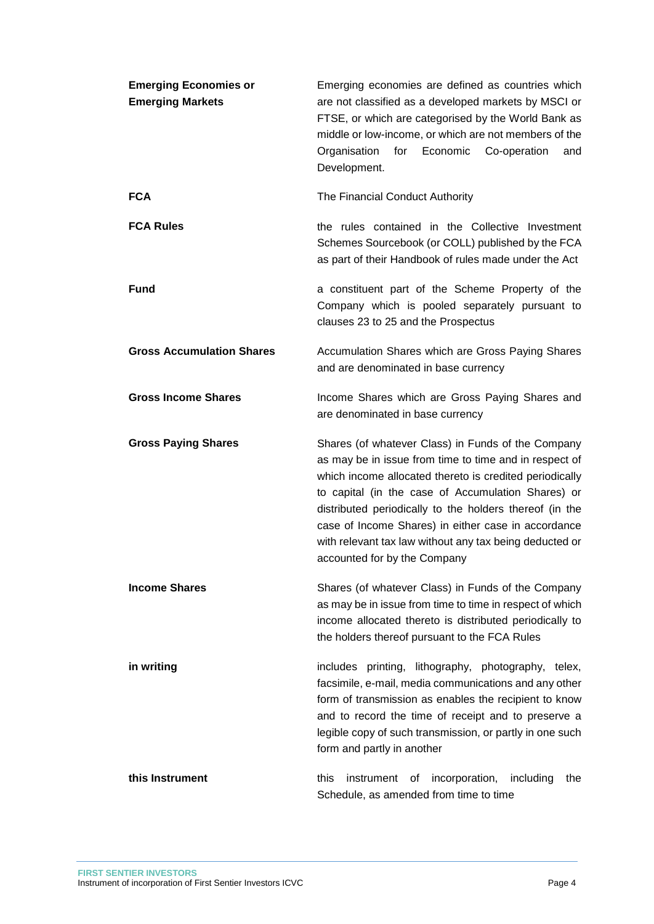| <b>Emerging Economies or</b><br><b>Emerging Markets</b> | Emerging economies are defined as countries which<br>are not classified as a developed markets by MSCI or<br>FTSE, or which are categorised by the World Bank as<br>middle or low-income, or which are not members of the<br>Economic<br>Organisation<br>for<br>Co-operation<br>and<br>Development.                                                                                                                                        |
|---------------------------------------------------------|--------------------------------------------------------------------------------------------------------------------------------------------------------------------------------------------------------------------------------------------------------------------------------------------------------------------------------------------------------------------------------------------------------------------------------------------|
| <b>FCA</b>                                              | The Financial Conduct Authority                                                                                                                                                                                                                                                                                                                                                                                                            |
| <b>FCA Rules</b>                                        | the rules contained in the Collective Investment<br>Schemes Sourcebook (or COLL) published by the FCA<br>as part of their Handbook of rules made under the Act                                                                                                                                                                                                                                                                             |
| <b>Fund</b>                                             | a constituent part of the Scheme Property of the<br>Company which is pooled separately pursuant to<br>clauses 23 to 25 and the Prospectus                                                                                                                                                                                                                                                                                                  |
| <b>Gross Accumulation Shares</b>                        | Accumulation Shares which are Gross Paying Shares<br>and are denominated in base currency                                                                                                                                                                                                                                                                                                                                                  |
| <b>Gross Income Shares</b>                              | Income Shares which are Gross Paying Shares and<br>are denominated in base currency                                                                                                                                                                                                                                                                                                                                                        |
| <b>Gross Paying Shares</b>                              | Shares (of whatever Class) in Funds of the Company<br>as may be in issue from time to time and in respect of<br>which income allocated thereto is credited periodically<br>to capital (in the case of Accumulation Shares) or<br>distributed periodically to the holders thereof (in the<br>case of Income Shares) in either case in accordance<br>with relevant tax law without any tax being deducted or<br>accounted for by the Company |
| <b>Income Shares</b>                                    | Shares (of whatever Class) in Funds of the Company<br>as may be in issue from time to time in respect of which<br>income allocated thereto is distributed periodically to<br>the holders thereof pursuant to the FCA Rules                                                                                                                                                                                                                 |
| in writing                                              | includes printing, lithography, photography, telex,<br>facsimile, e-mail, media communications and any other<br>form of transmission as enables the recipient to know<br>and to record the time of receipt and to preserve a<br>legible copy of such transmission, or partly in one such<br>form and partly in another                                                                                                                     |
| this Instrument                                         | this<br>instrument<br>incorporation,<br>οf<br>including<br>the<br>Schedule, as amended from time to time                                                                                                                                                                                                                                                                                                                                   |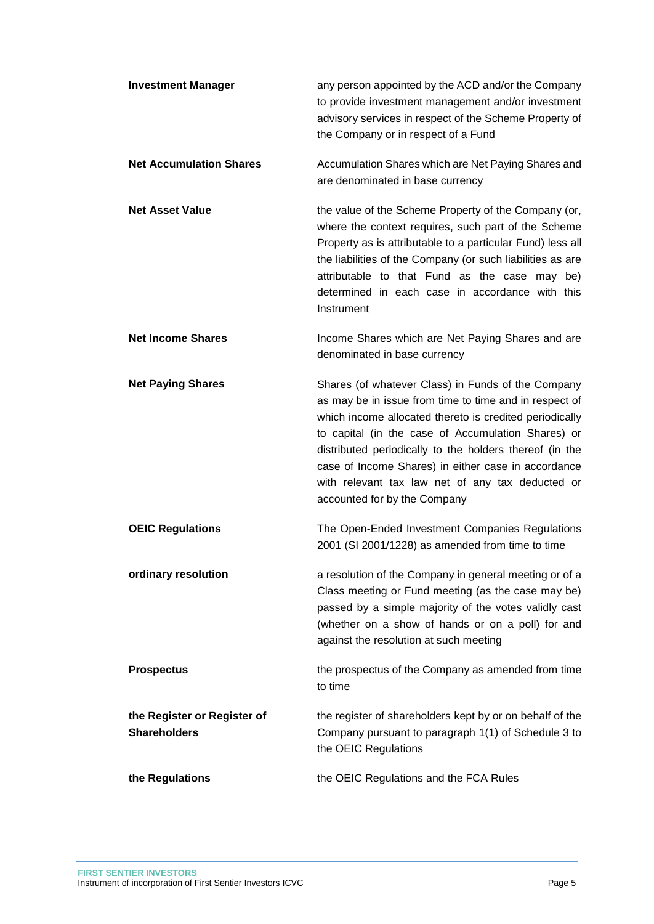| <b>Investment Manager</b>                          | any person appointed by the ACD and/or the Company<br>to provide investment management and/or investment<br>advisory services in respect of the Scheme Property of<br>the Company or in respect of a Fund                                                                                                                                                                                                                           |
|----------------------------------------------------|-------------------------------------------------------------------------------------------------------------------------------------------------------------------------------------------------------------------------------------------------------------------------------------------------------------------------------------------------------------------------------------------------------------------------------------|
| <b>Net Accumulation Shares</b>                     | Accumulation Shares which are Net Paying Shares and<br>are denominated in base currency                                                                                                                                                                                                                                                                                                                                             |
| <b>Net Asset Value</b>                             | the value of the Scheme Property of the Company (or,<br>where the context requires, such part of the Scheme<br>Property as is attributable to a particular Fund) less all<br>the liabilities of the Company (or such liabilities as are<br>attributable to that Fund as the case may be)<br>determined in each case in accordance with this<br>Instrument                                                                           |
| <b>Net Income Shares</b>                           | Income Shares which are Net Paying Shares and are<br>denominated in base currency                                                                                                                                                                                                                                                                                                                                                   |
| <b>Net Paying Shares</b>                           | Shares (of whatever Class) in Funds of the Company<br>as may be in issue from time to time and in respect of<br>which income allocated thereto is credited periodically<br>to capital (in the case of Accumulation Shares) or<br>distributed periodically to the holders thereof (in the<br>case of Income Shares) in either case in accordance<br>with relevant tax law net of any tax deducted or<br>accounted for by the Company |
| <b>OEIC Regulations</b>                            | The Open-Ended Investment Companies Regulations<br>2001 (SI 2001/1228) as amended from time to time                                                                                                                                                                                                                                                                                                                                 |
| ordinary resolution                                | a resolution of the Company in general meeting or of a<br>Class meeting or Fund meeting (as the case may be)<br>passed by a simple majority of the votes validly cast<br>(whether on a show of hands or on a poll) for and<br>against the resolution at such meeting                                                                                                                                                                |
| <b>Prospectus</b>                                  | the prospectus of the Company as amended from time<br>to time                                                                                                                                                                                                                                                                                                                                                                       |
| the Register or Register of<br><b>Shareholders</b> | the register of shareholders kept by or on behalf of the<br>Company pursuant to paragraph 1(1) of Schedule 3 to<br>the OEIC Regulations                                                                                                                                                                                                                                                                                             |
| the Regulations                                    | the OEIC Regulations and the FCA Rules                                                                                                                                                                                                                                                                                                                                                                                              |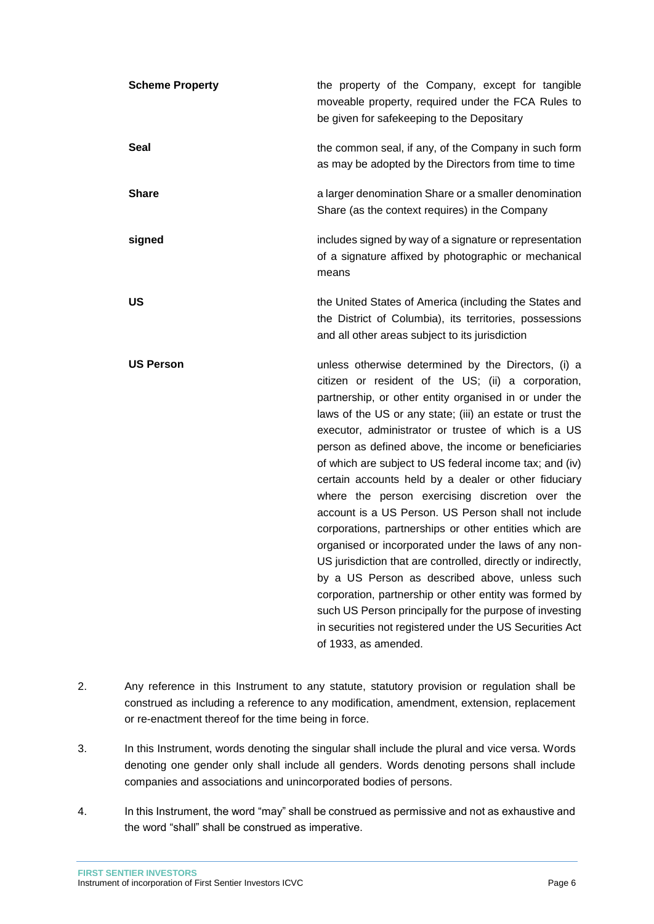| <b>Scheme Property</b> | the property of the Company, except for tangible<br>moveable property, required under the FCA Rules to<br>be given for safekeeping to the Depositary                                                                                                                                                                                                                                                                                                                                                                                                                                                                                                                                                                                                                                                                                                                                                                                                                                                                      |
|------------------------|---------------------------------------------------------------------------------------------------------------------------------------------------------------------------------------------------------------------------------------------------------------------------------------------------------------------------------------------------------------------------------------------------------------------------------------------------------------------------------------------------------------------------------------------------------------------------------------------------------------------------------------------------------------------------------------------------------------------------------------------------------------------------------------------------------------------------------------------------------------------------------------------------------------------------------------------------------------------------------------------------------------------------|
| Seal                   | the common seal, if any, of the Company in such form<br>as may be adopted by the Directors from time to time                                                                                                                                                                                                                                                                                                                                                                                                                                                                                                                                                                                                                                                                                                                                                                                                                                                                                                              |
| <b>Share</b>           | a larger denomination Share or a smaller denomination<br>Share (as the context requires) in the Company                                                                                                                                                                                                                                                                                                                                                                                                                                                                                                                                                                                                                                                                                                                                                                                                                                                                                                                   |
| signed                 | includes signed by way of a signature or representation<br>of a signature affixed by photographic or mechanical<br>means                                                                                                                                                                                                                                                                                                                                                                                                                                                                                                                                                                                                                                                                                                                                                                                                                                                                                                  |
| US                     | the United States of America (including the States and<br>the District of Columbia), its territories, possessions<br>and all other areas subject to its jurisdiction                                                                                                                                                                                                                                                                                                                                                                                                                                                                                                                                                                                                                                                                                                                                                                                                                                                      |
| <b>US Person</b>       | unless otherwise determined by the Directors, (i) a<br>citizen or resident of the US; (ii) a corporation,<br>partnership, or other entity organised in or under the<br>laws of the US or any state; (iii) an estate or trust the<br>executor, administrator or trustee of which is a US<br>person as defined above, the income or beneficiaries<br>of which are subject to US federal income tax; and (iv)<br>certain accounts held by a dealer or other fiduciary<br>where the person exercising discretion over the<br>account is a US Person. US Person shall not include<br>corporations, partnerships or other entities which are<br>organised or incorporated under the laws of any non-<br>US jurisdiction that are controlled, directly or indirectly,<br>by a US Person as described above, unless such<br>corporation, partnership or other entity was formed by<br>such US Person principally for the purpose of investing<br>in securities not registered under the US Securities Act<br>of 1933, as amended. |

- 2. Any reference in this Instrument to any statute, statutory provision or regulation shall be construed as including a reference to any modification, amendment, extension, replacement or re-enactment thereof for the time being in force.
- 3. In this Instrument, words denoting the singular shall include the plural and vice versa. Words denoting one gender only shall include all genders. Words denoting persons shall include companies and associations and unincorporated bodies of persons.
- 4. In this Instrument, the word "may" shall be construed as permissive and not as exhaustive and the word "shall" shall be construed as imperative.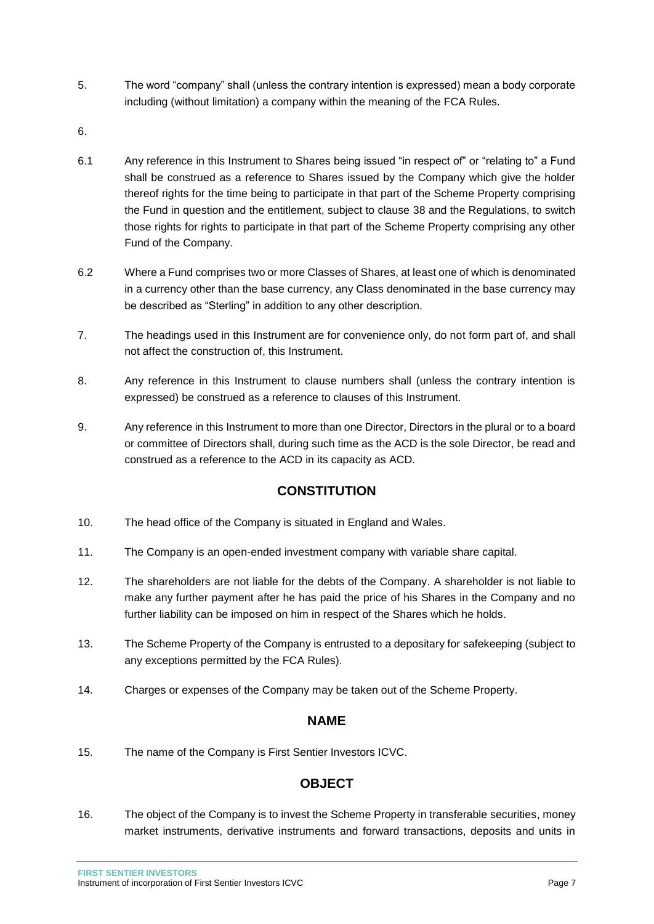- 5. The word "company" shall (unless the contrary intention is expressed) mean a body corporate including (without limitation) a company within the meaning of the FCA Rules.
- 6.
- 6.1 Any reference in this Instrument to Shares being issued "in respect of" or "relating to" a Fund shall be construed as a reference to Shares issued by the Company which give the holder thereof rights for the time being to participate in that part of the Scheme Property comprising the Fund in question and the entitlement, subject to clause 38 and the Regulations, to switch those rights for rights to participate in that part of the Scheme Property comprising any other Fund of the Company.
- 6.2 Where a Fund comprises two or more Classes of Shares, at least one of which is denominated in a currency other than the base currency, any Class denominated in the base currency may be described as "Sterling" in addition to any other description.
- 7. The headings used in this Instrument are for convenience only, do not form part of, and shall not affect the construction of, this Instrument.
- 8. Any reference in this Instrument to clause numbers shall (unless the contrary intention is expressed) be construed as a reference to clauses of this Instrument.
- 9. Any reference in this Instrument to more than one Director, Directors in the plural or to a board or committee of Directors shall, during such time as the ACD is the sole Director, be read and construed as a reference to the ACD in its capacity as ACD.

# **CONSTITUTION**

- <span id="page-7-0"></span>10. The head office of the Company is situated in England and Wales.
- 11. The Company is an open-ended investment company with variable share capital.
- 12. The shareholders are not liable for the debts of the Company. A shareholder is not liable to make any further payment after he has paid the price of his Shares in the Company and no further liability can be imposed on him in respect of the Shares which he holds.
- 13. The Scheme Property of the Company is entrusted to a depositary for safekeeping (subject to any exceptions permitted by the FCA Rules).
- <span id="page-7-1"></span>14. Charges or expenses of the Company may be taken out of the Scheme Property.

### **NAME**

<span id="page-7-2"></span>15. The name of the Company is First Sentier Investors ICVC.

# **OBJECT**

16. The object of the Company is to invest the Scheme Property in transferable securities, money market instruments, derivative instruments and forward transactions, deposits and units in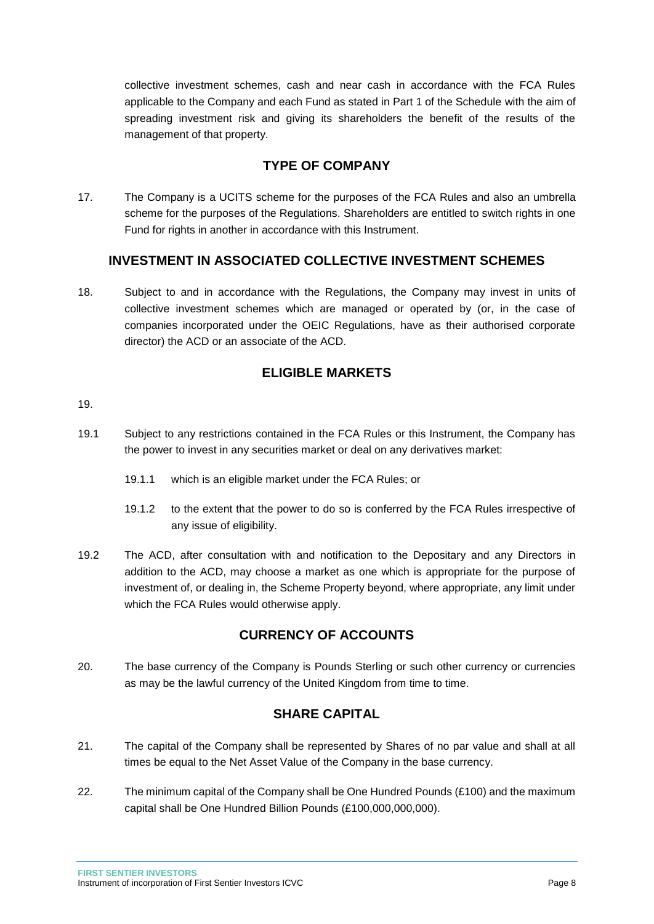collective investment schemes, cash and near cash in accordance with the FCA Rules applicable to the Company and each Fund as stated in Part 1 of the Schedule with the aim of spreading investment risk and giving its shareholders the benefit of the results of the management of that property.

# **TYPE OF COMPANY**

<span id="page-8-0"></span>17. The Company is a UCITS scheme for the purposes of the FCA Rules and also an umbrella scheme for the purposes of the Regulations. Shareholders are entitled to switch rights in one Fund for rights in another in accordance with this Instrument.

# **INVESTMENT IN ASSOCIATED COLLECTIVE INVESTMENT SCHEMES**

<span id="page-8-1"></span>18. Subject to and in accordance with the Regulations, the Company may invest in units of collective investment schemes which are managed or operated by (or, in the case of companies incorporated under the OEIC Regulations, have as their authorised corporate director) the ACD or an associate of the ACD.

### **ELIGIBLE MARKETS**

#### <span id="page-8-2"></span>19.

- 19.1 Subject to any restrictions contained in the FCA Rules or this Instrument, the Company has the power to invest in any securities market or deal on any derivatives market:
	- 19.1.1 which is an eligible market under the FCA Rules; or
	- 19.1.2 to the extent that the power to do so is conferred by the FCA Rules irrespective of any issue of eligibility.
- 19.2 The ACD, after consultation with and notification to the Depositary and any Directors in addition to the ACD, may choose a market as one which is appropriate for the purpose of investment of, or dealing in, the Scheme Property beyond, where appropriate, any limit under which the FCA Rules would otherwise apply.

# **CURRENCY OF ACCOUNTS**

<span id="page-8-3"></span>20. The base currency of the Company is Pounds Sterling or such other currency or currencies as may be the lawful currency of the United Kingdom from time to time.

# **SHARE CAPITAL**

- <span id="page-8-4"></span>21. The capital of the Company shall be represented by Shares of no par value and shall at all times be equal to the Net Asset Value of the Company in the base currency.
- 22. The minimum capital of the Company shall be One Hundred Pounds  $(E100)$  and the maximum capital shall be One Hundred Billion Pounds (£100,000,000,000).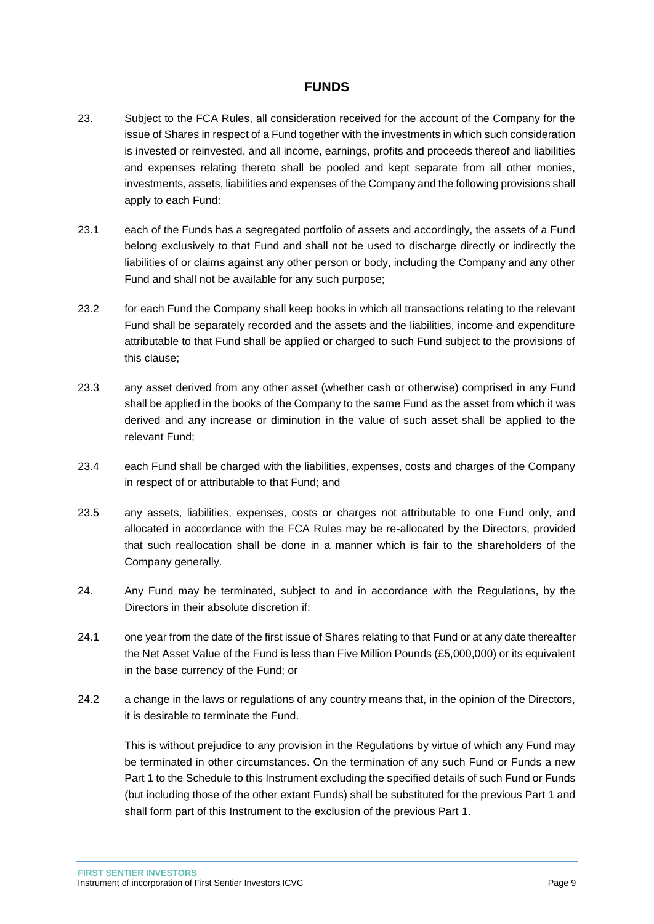### **FUNDS**

- <span id="page-9-0"></span>23. Subject to the FCA Rules, all consideration received for the account of the Company for the issue of Shares in respect of a Fund together with the investments in which such consideration is invested or reinvested, and all income, earnings, profits and proceeds thereof and liabilities and expenses relating thereto shall be pooled and kept separate from all other monies, investments, assets, liabilities and expenses of the Company and the following provisions shall apply to each Fund:
- 23.1 each of the Funds has a segregated portfolio of assets and accordingly, the assets of a Fund belong exclusively to that Fund and shall not be used to discharge directly or indirectly the liabilities of or claims against any other person or body, including the Company and any other Fund and shall not be available for any such purpose;
- 23.2 for each Fund the Company shall keep books in which all transactions relating to the relevant Fund shall be separately recorded and the assets and the liabilities, income and expenditure attributable to that Fund shall be applied or charged to such Fund subject to the provisions of this clause;
- 23.3 any asset derived from any other asset (whether cash or otherwise) comprised in any Fund shall be applied in the books of the Company to the same Fund as the asset from which it was derived and any increase or diminution in the value of such asset shall be applied to the relevant Fund;
- 23.4 each Fund shall be charged with the liabilities, expenses, costs and charges of the Company in respect of or attributable to that Fund; and
- 23.5 any assets, liabilities, expenses, costs or charges not attributable to one Fund only, and allocated in accordance with the FCA Rules may be re-allocated by the Directors, provided that such reallocation shall be done in a manner which is fair to the shareholders of the Company generally.
- 24. Any Fund may be terminated, subject to and in accordance with the Regulations, by the Directors in their absolute discretion if:
- 24.1 one year from the date of the first issue of Shares relating to that Fund or at any date thereafter the Net Asset Value of the Fund is less than Five Million Pounds (£5,000,000) or its equivalent in the base currency of the Fund; or
- 24.2 a change in the laws or regulations of any country means that, in the opinion of the Directors, it is desirable to terminate the Fund.

This is without prejudice to any provision in the Regulations by virtue of which any Fund may be terminated in other circumstances. On the termination of any such Fund or Funds a new Part 1 to the Schedule to this Instrument excluding the specified details of such Fund or Funds (but including those of the other extant Funds) shall be substituted for the previous Part 1 and shall form part of this Instrument to the exclusion of the previous Part 1.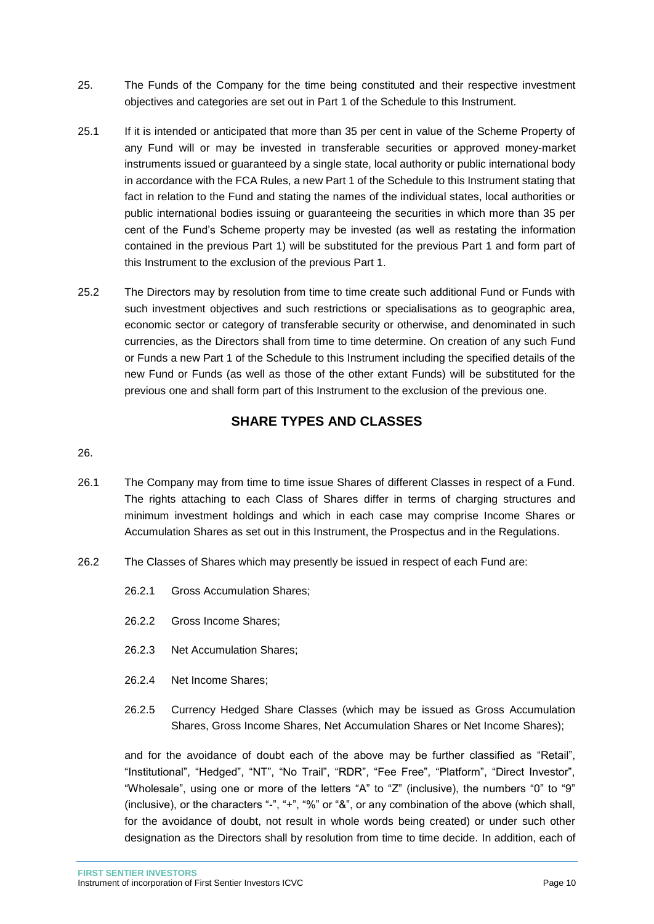- 25. The Funds of the Company for the time being constituted and their respective investment objectives and categories are set out in Part 1 of the Schedule to this Instrument.
- 25.1 If it is intended or anticipated that more than 35 per cent in value of the Scheme Property of any Fund will or may be invested in transferable securities or approved money-market instruments issued or guaranteed by a single state, local authority or public international body in accordance with the FCA Rules, a new Part 1 of the Schedule to this Instrument stating that fact in relation to the Fund and stating the names of the individual states, local authorities or public international bodies issuing or guaranteeing the securities in which more than 35 per cent of the Fund's Scheme property may be invested (as well as restating the information contained in the previous Part 1) will be substituted for the previous Part 1 and form part of this Instrument to the exclusion of the previous Part 1.
- 25.2 The Directors may by resolution from time to time create such additional Fund or Funds with such investment objectives and such restrictions or specialisations as to geographic area, economic sector or category of transferable security or otherwise, and denominated in such currencies, as the Directors shall from time to time determine. On creation of any such Fund or Funds a new Part 1 of the Schedule to this Instrument including the specified details of the new Fund or Funds (as well as those of the other extant Funds) will be substituted for the previous one and shall form part of this Instrument to the exclusion of the previous one.

# **SHARE TYPES AND CLASSES**

#### <span id="page-10-0"></span>26.

- 26.1 The Company may from time to time issue Shares of different Classes in respect of a Fund. The rights attaching to each Class of Shares differ in terms of charging structures and minimum investment holdings and which in each case may comprise Income Shares or Accumulation Shares as set out in this Instrument, the Prospectus and in the Regulations.
- 26.2 The Classes of Shares which may presently be issued in respect of each Fund are:
	- 26.2.1 Gross Accumulation Shares;
	- 26.2.2 Gross Income Shares;
	- 26.2.3 Net Accumulation Shares;
	- 26.2.4 Net Income Shares;
	- 26.2.5 Currency Hedged Share Classes (which may be issued as Gross Accumulation Shares, Gross Income Shares, Net Accumulation Shares or Net Income Shares);

and for the avoidance of doubt each of the above may be further classified as "Retail", "Institutional", "Hedged", "NT", "No Trail", "RDR", "Fee Free", "Platform", "Direct Investor", "Wholesale", using one or more of the letters "A" to "Z" (inclusive), the numbers "0" to "9" (inclusive), or the characters "-", "+", "%" or "&", or any combination of the above (which shall, for the avoidance of doubt, not result in whole words being created) or under such other designation as the Directors shall by resolution from time to time decide. In addition, each of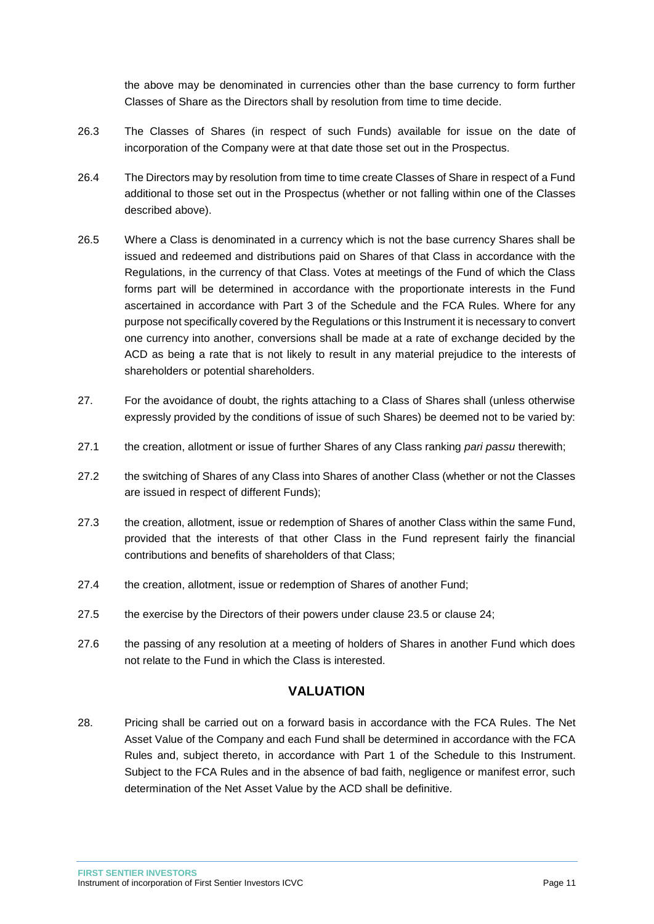the above may be denominated in currencies other than the base currency to form further Classes of Share as the Directors shall by resolution from time to time decide.

- 26.3 The Classes of Shares (in respect of such Funds) available for issue on the date of incorporation of the Company were at that date those set out in the Prospectus.
- 26.4 The Directors may by resolution from time to time create Classes of Share in respect of a Fund additional to those set out in the Prospectus (whether or not falling within one of the Classes described above).
- 26.5 Where a Class is denominated in a currency which is not the base currency Shares shall be issued and redeemed and distributions paid on Shares of that Class in accordance with the Regulations, in the currency of that Class. Votes at meetings of the Fund of which the Class forms part will be determined in accordance with the proportionate interests in the Fund ascertained in accordance with Part 3 of the Schedule and the FCA Rules. Where for any purpose not specifically covered by the Regulations or this Instrument it is necessary to convert one currency into another, conversions shall be made at a rate of exchange decided by the ACD as being a rate that is not likely to result in any material prejudice to the interests of shareholders or potential shareholders.
- 27. For the avoidance of doubt, the rights attaching to a Class of Shares shall (unless otherwise expressly provided by the conditions of issue of such Shares) be deemed not to be varied by:
- 27.1 the creation, allotment or issue of further Shares of any Class ranking *pari passu* therewith;
- 27.2 the switching of Shares of any Class into Shares of another Class (whether or not the Classes are issued in respect of different Funds);
- 27.3 the creation, allotment, issue or redemption of Shares of another Class within the same Fund, provided that the interests of that other Class in the Fund represent fairly the financial contributions and benefits of shareholders of that Class;
- 27.4 the creation, allotment, issue or redemption of Shares of another Fund;
- 27.5 the exercise by the Directors of their powers under clause 23.5 or clause 24;
- 27.6 the passing of any resolution at a meeting of holders of Shares in another Fund which does not relate to the Fund in which the Class is interested.

### **VALUATION**

<span id="page-11-0"></span>28. Pricing shall be carried out on a forward basis in accordance with the FCA Rules. The Net Asset Value of the Company and each Fund shall be determined in accordance with the FCA Rules and, subject thereto, in accordance with Part 1 of the Schedule to this Instrument. Subject to the FCA Rules and in the absence of bad faith, negligence or manifest error, such determination of the Net Asset Value by the ACD shall be definitive.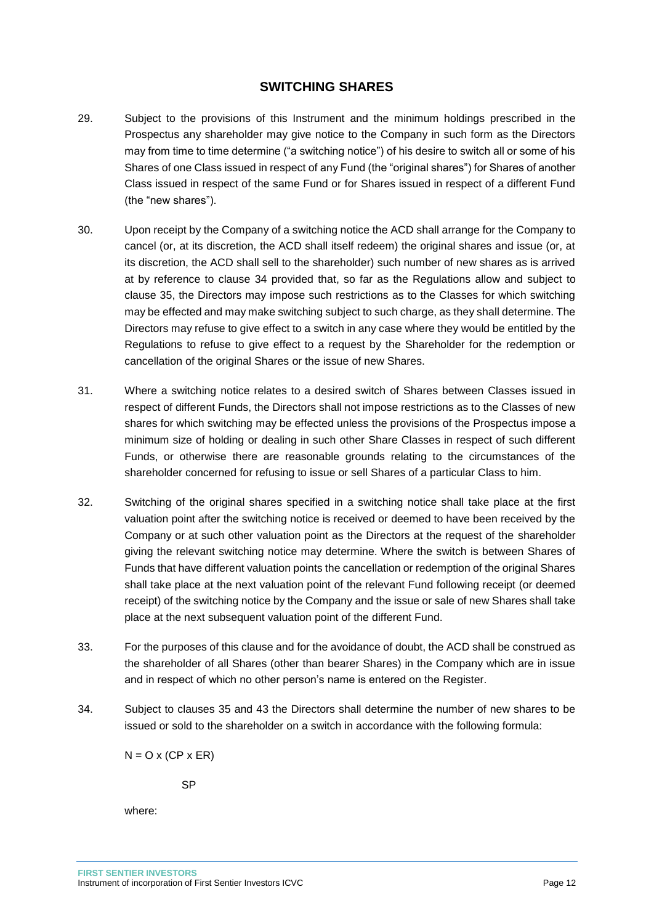### **SWITCHING SHARES**

- <span id="page-12-0"></span>29. Subject to the provisions of this Instrument and the minimum holdings prescribed in the Prospectus any shareholder may give notice to the Company in such form as the Directors may from time to time determine ("a switching notice") of his desire to switch all or some of his Shares of one Class issued in respect of any Fund (the "original shares") for Shares of another Class issued in respect of the same Fund or for Shares issued in respect of a different Fund (the "new shares").
- 30. Upon receipt by the Company of a switching notice the ACD shall arrange for the Company to cancel (or, at its discretion, the ACD shall itself redeem) the original shares and issue (or, at its discretion, the ACD shall sell to the shareholder) such number of new shares as is arrived at by reference to clause 34 provided that, so far as the Regulations allow and subject to clause 35, the Directors may impose such restrictions as to the Classes for which switching may be effected and may make switching subject to such charge, as they shall determine. The Directors may refuse to give effect to a switch in any case where they would be entitled by the Regulations to refuse to give effect to a request by the Shareholder for the redemption or cancellation of the original Shares or the issue of new Shares.
- 31. Where a switching notice relates to a desired switch of Shares between Classes issued in respect of different Funds, the Directors shall not impose restrictions as to the Classes of new shares for which switching may be effected unless the provisions of the Prospectus impose a minimum size of holding or dealing in such other Share Classes in respect of such different Funds, or otherwise there are reasonable grounds relating to the circumstances of the shareholder concerned for refusing to issue or sell Shares of a particular Class to him.
- 32. Switching of the original shares specified in a switching notice shall take place at the first valuation point after the switching notice is received or deemed to have been received by the Company or at such other valuation point as the Directors at the request of the shareholder giving the relevant switching notice may determine. Where the switch is between Shares of Funds that have different valuation points the cancellation or redemption of the original Shares shall take place at the next valuation point of the relevant Fund following receipt (or deemed receipt) of the switching notice by the Company and the issue or sale of new Shares shall take place at the next subsequent valuation point of the different Fund.
- 33. For the purposes of this clause and for the avoidance of doubt, the ACD shall be construed as the shareholder of all Shares (other than bearer Shares) in the Company which are in issue and in respect of which no other person's name is entered on the Register.
- 34. Subject to clauses 35 and 43 the Directors shall determine the number of new shares to be issued or sold to the shareholder on a switch in accordance with the following formula:

 $N = O X (CP X ER)$ 

SP

where: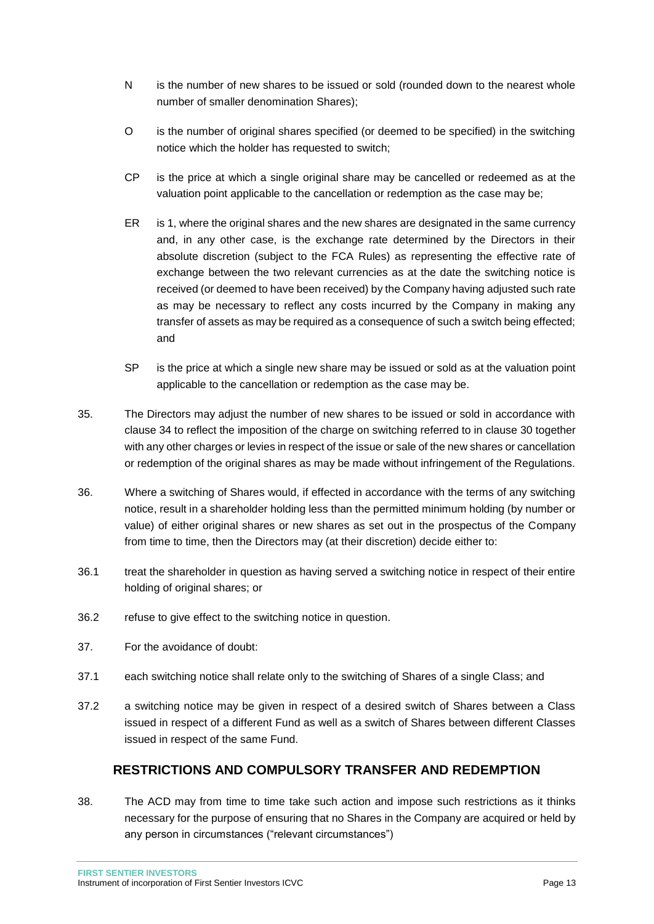- N is the number of new shares to be issued or sold (rounded down to the nearest whole number of smaller denomination Shares);
- O is the number of original shares specified (or deemed to be specified) in the switching notice which the holder has requested to switch;
- CP is the price at which a single original share may be cancelled or redeemed as at the valuation point applicable to the cancellation or redemption as the case may be;
- ER is 1, where the original shares and the new shares are designated in the same currency and, in any other case, is the exchange rate determined by the Directors in their absolute discretion (subject to the FCA Rules) as representing the effective rate of exchange between the two relevant currencies as at the date the switching notice is received (or deemed to have been received) by the Company having adjusted such rate as may be necessary to reflect any costs incurred by the Company in making any transfer of assets as may be required as a consequence of such a switch being effected; and
- SP is the price at which a single new share may be issued or sold as at the valuation point applicable to the cancellation or redemption as the case may be.
- 35. The Directors may adjust the number of new shares to be issued or sold in accordance with clause 34 to reflect the imposition of the charge on switching referred to in clause 30 together with any other charges or levies in respect of the issue or sale of the new shares or cancellation or redemption of the original shares as may be made without infringement of the Regulations.
- 36. Where a switching of Shares would, if effected in accordance with the terms of any switching notice, result in a shareholder holding less than the permitted minimum holding (by number or value) of either original shares or new shares as set out in the prospectus of the Company from time to time, then the Directors may (at their discretion) decide either to:
- 36.1 treat the shareholder in question as having served a switching notice in respect of their entire holding of original shares; or
- 36.2 refuse to give effect to the switching notice in question.
- 37. For the avoidance of doubt:
- 37.1 each switching notice shall relate only to the switching of Shares of a single Class; and
- 37.2 a switching notice may be given in respect of a desired switch of Shares between a Class issued in respect of a different Fund as well as a switch of Shares between different Classes issued in respect of the same Fund.

# **RESTRICTIONS AND COMPULSORY TRANSFER AND REDEMPTION**

<span id="page-13-0"></span>38. The ACD may from time to time take such action and impose such restrictions as it thinks necessary for the purpose of ensuring that no Shares in the Company are acquired or held by any person in circumstances ("relevant circumstances")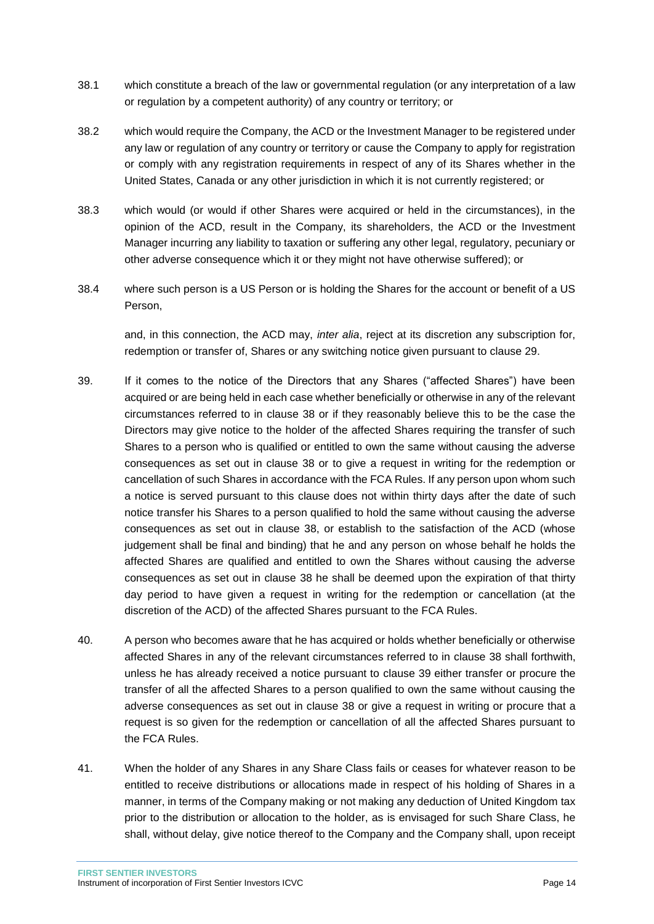- 38.1 which constitute a breach of the law or governmental regulation (or any interpretation of a law or regulation by a competent authority) of any country or territory; or
- 38.2 which would require the Company, the ACD or the Investment Manager to be registered under any law or regulation of any country or territory or cause the Company to apply for registration or comply with any registration requirements in respect of any of its Shares whether in the United States, Canada or any other jurisdiction in which it is not currently registered; or
- 38.3 which would (or would if other Shares were acquired or held in the circumstances), in the opinion of the ACD, result in the Company, its shareholders, the ACD or the Investment Manager incurring any liability to taxation or suffering any other legal, regulatory, pecuniary or other adverse consequence which it or they might not have otherwise suffered); or
- 38.4 where such person is a US Person or is holding the Shares for the account or benefit of a US Person,

and, in this connection, the ACD may, *inter alia*, reject at its discretion any subscription for, redemption or transfer of, Shares or any switching notice given pursuant to clause 29.

- 39. If it comes to the notice of the Directors that any Shares ("affected Shares") have been acquired or are being held in each case whether beneficially or otherwise in any of the relevant circumstances referred to in clause 38 or if they reasonably believe this to be the case the Directors may give notice to the holder of the affected Shares requiring the transfer of such Shares to a person who is qualified or entitled to own the same without causing the adverse consequences as set out in clause 38 or to give a request in writing for the redemption or cancellation of such Shares in accordance with the FCA Rules. If any person upon whom such a notice is served pursuant to this clause does not within thirty days after the date of such notice transfer his Shares to a person qualified to hold the same without causing the adverse consequences as set out in clause 38, or establish to the satisfaction of the ACD (whose judgement shall be final and binding) that he and any person on whose behalf he holds the affected Shares are qualified and entitled to own the Shares without causing the adverse consequences as set out in clause 38 he shall be deemed upon the expiration of that thirty day period to have given a request in writing for the redemption or cancellation (at the discretion of the ACD) of the affected Shares pursuant to the FCA Rules.
- 40. A person who becomes aware that he has acquired or holds whether beneficially or otherwise affected Shares in any of the relevant circumstances referred to in clause 38 shall forthwith, unless he has already received a notice pursuant to clause 39 either transfer or procure the transfer of all the affected Shares to a person qualified to own the same without causing the adverse consequences as set out in clause 38 or give a request in writing or procure that a request is so given for the redemption or cancellation of all the affected Shares pursuant to the FCA Rules.
- 41. When the holder of any Shares in any Share Class fails or ceases for whatever reason to be entitled to receive distributions or allocations made in respect of his holding of Shares in a manner, in terms of the Company making or not making any deduction of United Kingdom tax prior to the distribution or allocation to the holder, as is envisaged for such Share Class, he shall, without delay, give notice thereof to the Company and the Company shall, upon receipt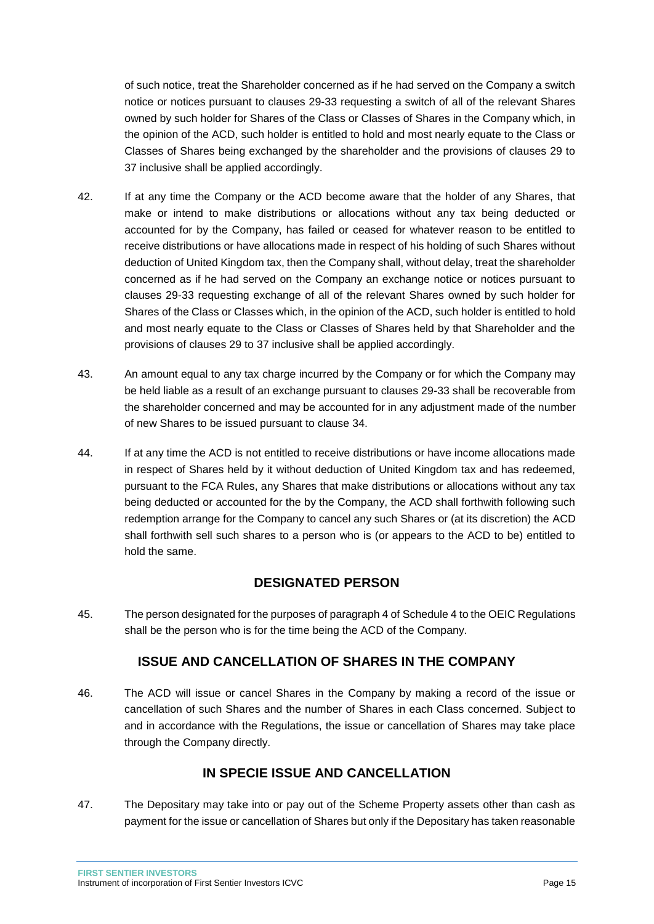of such notice, treat the Shareholder concerned as if he had served on the Company a switch notice or notices pursuant to clauses 29-33 requesting a switch of all of the relevant Shares owned by such holder for Shares of the Class or Classes of Shares in the Company which, in the opinion of the ACD, such holder is entitled to hold and most nearly equate to the Class or Classes of Shares being exchanged by the shareholder and the provisions of clauses 29 to 37 inclusive shall be applied accordingly.

- 42. If at any time the Company or the ACD become aware that the holder of any Shares, that make or intend to make distributions or allocations without any tax being deducted or accounted for by the Company, has failed or ceased for whatever reason to be entitled to receive distributions or have allocations made in respect of his holding of such Shares without deduction of United Kingdom tax, then the Company shall, without delay, treat the shareholder concerned as if he had served on the Company an exchange notice or notices pursuant to clauses 29-33 requesting exchange of all of the relevant Shares owned by such holder for Shares of the Class or Classes which, in the opinion of the ACD, such holder is entitled to hold and most nearly equate to the Class or Classes of Shares held by that Shareholder and the provisions of clauses 29 to 37 inclusive shall be applied accordingly.
- 43. An amount equal to any tax charge incurred by the Company or for which the Company may be held liable as a result of an exchange pursuant to clauses 29-33 shall be recoverable from the shareholder concerned and may be accounted for in any adjustment made of the number of new Shares to be issued pursuant to clause 34.
- 44. If at any time the ACD is not entitled to receive distributions or have income allocations made in respect of Shares held by it without deduction of United Kingdom tax and has redeemed, pursuant to the FCA Rules, any Shares that make distributions or allocations without any tax being deducted or accounted for the by the Company, the ACD shall forthwith following such redemption arrange for the Company to cancel any such Shares or (at its discretion) the ACD shall forthwith sell such shares to a person who is (or appears to the ACD to be) entitled to hold the same.

# **DESIGNATED PERSON**

<span id="page-15-0"></span>45. The person designated for the purposes of paragraph 4 of Schedule 4 to the OEIC Regulations shall be the person who is for the time being the ACD of the Company.

# **ISSUE AND CANCELLATION OF SHARES IN THE COMPANY**

<span id="page-15-1"></span>46. The ACD will issue or cancel Shares in the Company by making a record of the issue or cancellation of such Shares and the number of Shares in each Class concerned. Subject to and in accordance with the Regulations, the issue or cancellation of Shares may take place through the Company directly.

# **IN SPECIE ISSUE AND CANCELLATION**

<span id="page-15-2"></span>47. The Depositary may take into or pay out of the Scheme Property assets other than cash as payment for the issue or cancellation of Shares but only if the Depositary has taken reasonable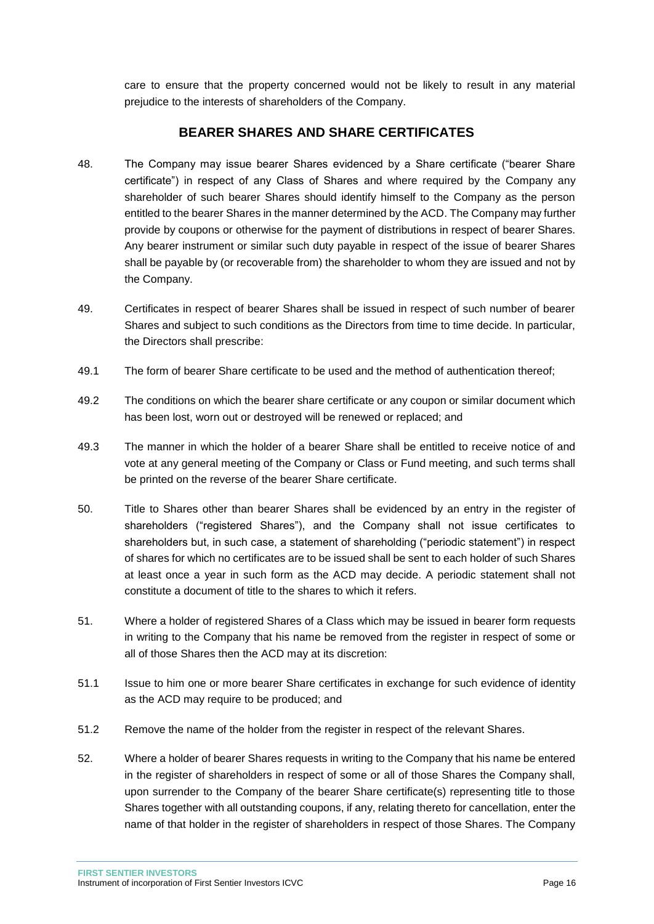care to ensure that the property concerned would not be likely to result in any material prejudice to the interests of shareholders of the Company.

### **BEARER SHARES AND SHARE CERTIFICATES**

- <span id="page-16-0"></span>48. The Company may issue bearer Shares evidenced by a Share certificate ("bearer Share certificate") in respect of any Class of Shares and where required by the Company any shareholder of such bearer Shares should identify himself to the Company as the person entitled to the bearer Shares in the manner determined by the ACD. The Company may further provide by coupons or otherwise for the payment of distributions in respect of bearer Shares. Any bearer instrument or similar such duty payable in respect of the issue of bearer Shares shall be payable by (or recoverable from) the shareholder to whom they are issued and not by the Company.
- 49. Certificates in respect of bearer Shares shall be issued in respect of such number of bearer Shares and subject to such conditions as the Directors from time to time decide. In particular, the Directors shall prescribe:
- 49.1 The form of bearer Share certificate to be used and the method of authentication thereof;
- 49.2 The conditions on which the bearer share certificate or any coupon or similar document which has been lost, worn out or destroyed will be renewed or replaced; and
- 49.3 The manner in which the holder of a bearer Share shall be entitled to receive notice of and vote at any general meeting of the Company or Class or Fund meeting, and such terms shall be printed on the reverse of the bearer Share certificate.
- 50. Title to Shares other than bearer Shares shall be evidenced by an entry in the register of shareholders ("registered Shares"), and the Company shall not issue certificates to shareholders but, in such case, a statement of shareholding ("periodic statement") in respect of shares for which no certificates are to be issued shall be sent to each holder of such Shares at least once a year in such form as the ACD may decide. A periodic statement shall not constitute a document of title to the shares to which it refers.
- 51. Where a holder of registered Shares of a Class which may be issued in bearer form requests in writing to the Company that his name be removed from the register in respect of some or all of those Shares then the ACD may at its discretion:
- 51.1 Issue to him one or more bearer Share certificates in exchange for such evidence of identity as the ACD may require to be produced; and
- 51.2 Remove the name of the holder from the register in respect of the relevant Shares.
- 52. Where a holder of bearer Shares requests in writing to the Company that his name be entered in the register of shareholders in respect of some or all of those Shares the Company shall, upon surrender to the Company of the bearer Share certificate(s) representing title to those Shares together with all outstanding coupons, if any, relating thereto for cancellation, enter the name of that holder in the register of shareholders in respect of those Shares. The Company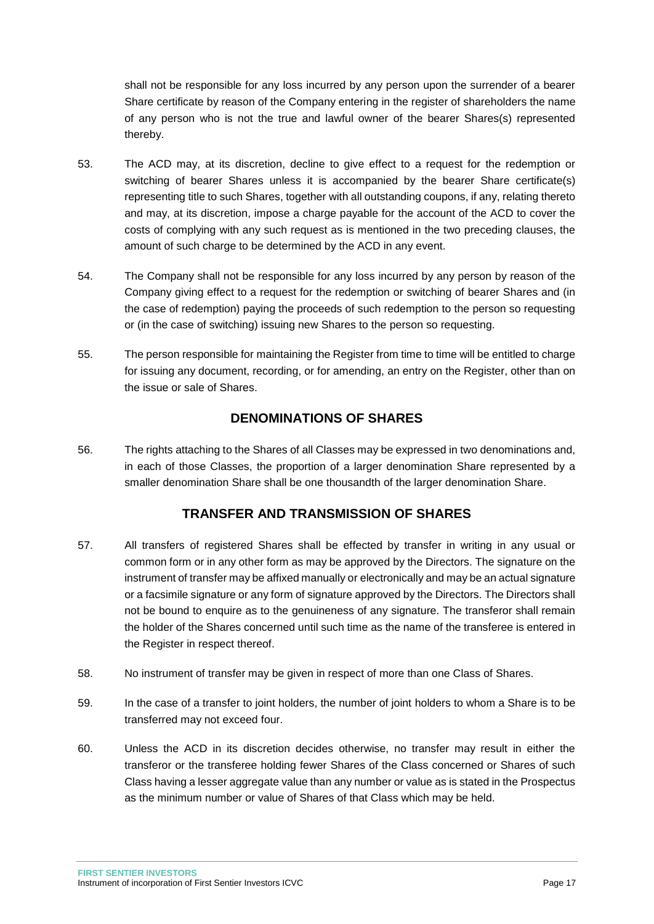shall not be responsible for any loss incurred by any person upon the surrender of a bearer Share certificate by reason of the Company entering in the register of shareholders the name of any person who is not the true and lawful owner of the bearer Shares(s) represented thereby.

- 53. The ACD may, at its discretion, decline to give effect to a request for the redemption or switching of bearer Shares unless it is accompanied by the bearer Share certificate(s) representing title to such Shares, together with all outstanding coupons, if any, relating thereto and may, at its discretion, impose a charge payable for the account of the ACD to cover the costs of complying with any such request as is mentioned in the two preceding clauses, the amount of such charge to be determined by the ACD in any event.
- 54. The Company shall not be responsible for any loss incurred by any person by reason of the Company giving effect to a request for the redemption or switching of bearer Shares and (in the case of redemption) paying the proceeds of such redemption to the person so requesting or (in the case of switching) issuing new Shares to the person so requesting.
- 55. The person responsible for maintaining the Register from time to time will be entitled to charge for issuing any document, recording, or for amending, an entry on the Register, other than on the issue or sale of Shares.

### **DENOMINATIONS OF SHARES**

<span id="page-17-0"></span>56. The rights attaching to the Shares of all Classes may be expressed in two denominations and, in each of those Classes, the proportion of a larger denomination Share represented by a smaller denomination Share shall be one thousandth of the larger denomination Share.

# **TRANSFER AND TRANSMISSION OF SHARES**

- <span id="page-17-1"></span>57. All transfers of registered Shares shall be effected by transfer in writing in any usual or common form or in any other form as may be approved by the Directors. The signature on the instrument of transfer may be affixed manually or electronically and may be an actual signature or a facsimile signature or any form of signature approved by the Directors. The Directors shall not be bound to enquire as to the genuineness of any signature. The transferor shall remain the holder of the Shares concerned until such time as the name of the transferee is entered in the Register in respect thereof.
- 58. No instrument of transfer may be given in respect of more than one Class of Shares.
- 59. In the case of a transfer to joint holders, the number of joint holders to whom a Share is to be transferred may not exceed four.
- 60. Unless the ACD in its discretion decides otherwise, no transfer may result in either the transferor or the transferee holding fewer Shares of the Class concerned or Shares of such Class having a lesser aggregate value than any number or value as is stated in the Prospectus as the minimum number or value of Shares of that Class which may be held.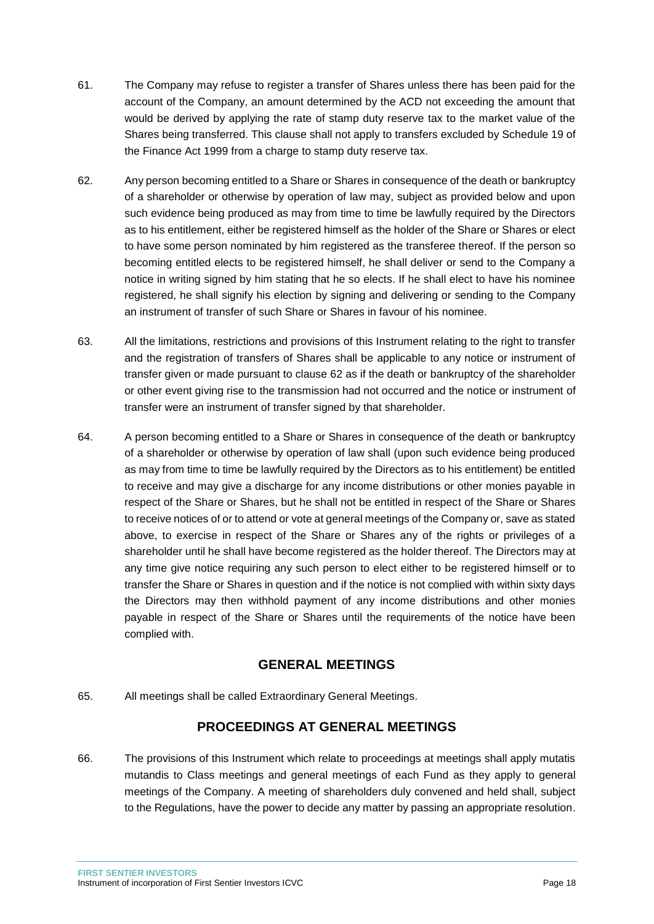- 61. The Company may refuse to register a transfer of Shares unless there has been paid for the account of the Company, an amount determined by the ACD not exceeding the amount that would be derived by applying the rate of stamp duty reserve tax to the market value of the Shares being transferred. This clause shall not apply to transfers excluded by Schedule 19 of the Finance Act 1999 from a charge to stamp duty reserve tax.
- 62. Any person becoming entitled to a Share or Shares in consequence of the death or bankruptcy of a shareholder or otherwise by operation of law may, subject as provided below and upon such evidence being produced as may from time to time be lawfully required by the Directors as to his entitlement, either be registered himself as the holder of the Share or Shares or elect to have some person nominated by him registered as the transferee thereof. If the person so becoming entitled elects to be registered himself, he shall deliver or send to the Company a notice in writing signed by him stating that he so elects. If he shall elect to have his nominee registered, he shall signify his election by signing and delivering or sending to the Company an instrument of transfer of such Share or Shares in favour of his nominee.
- 63. All the limitations, restrictions and provisions of this Instrument relating to the right to transfer and the registration of transfers of Shares shall be applicable to any notice or instrument of transfer given or made pursuant to clause 62 as if the death or bankruptcy of the shareholder or other event giving rise to the transmission had not occurred and the notice or instrument of transfer were an instrument of transfer signed by that shareholder.
- 64. A person becoming entitled to a Share or Shares in consequence of the death or bankruptcy of a shareholder or otherwise by operation of law shall (upon such evidence being produced as may from time to time be lawfully required by the Directors as to his entitlement) be entitled to receive and may give a discharge for any income distributions or other monies payable in respect of the Share or Shares, but he shall not be entitled in respect of the Share or Shares to receive notices of or to attend or vote at general meetings of the Company or, save as stated above, to exercise in respect of the Share or Shares any of the rights or privileges of a shareholder until he shall have become registered as the holder thereof. The Directors may at any time give notice requiring any such person to elect either to be registered himself or to transfer the Share or Shares in question and if the notice is not complied with within sixty days the Directors may then withhold payment of any income distributions and other monies payable in respect of the Share or Shares until the requirements of the notice have been complied with.

### **GENERAL MEETINGS**

<span id="page-18-1"></span><span id="page-18-0"></span>65. All meetings shall be called Extraordinary General Meetings.

# **PROCEEDINGS AT GENERAL MEETINGS**

66. The provisions of this Instrument which relate to proceedings at meetings shall apply mutatis mutandis to Class meetings and general meetings of each Fund as they apply to general meetings of the Company. A meeting of shareholders duly convened and held shall, subject to the Regulations, have the power to decide any matter by passing an appropriate resolution.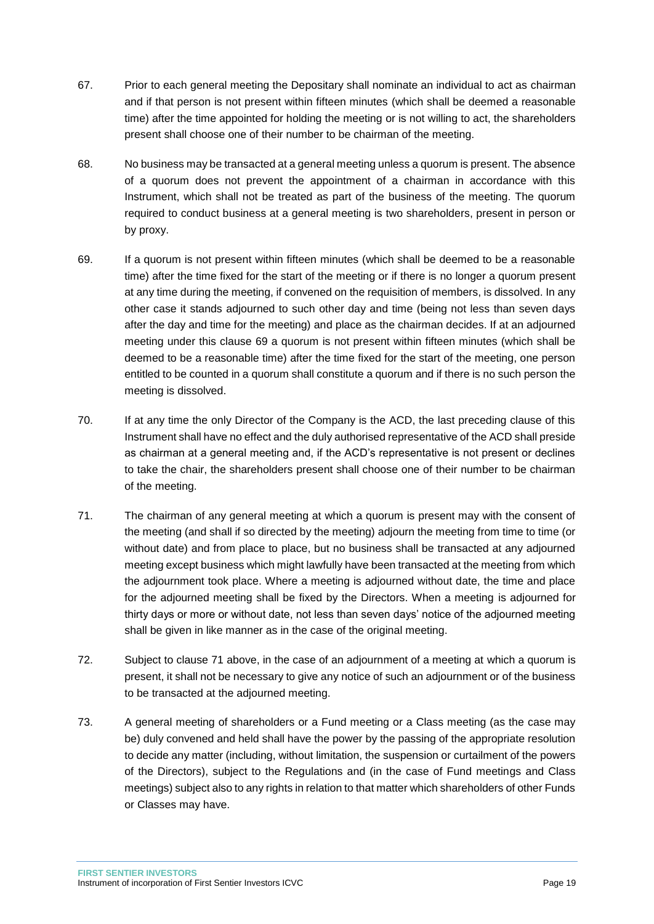- 67. Prior to each general meeting the Depositary shall nominate an individual to act as chairman and if that person is not present within fifteen minutes (which shall be deemed a reasonable time) after the time appointed for holding the meeting or is not willing to act, the shareholders present shall choose one of their number to be chairman of the meeting.
- 68. No business may be transacted at a general meeting unless a quorum is present. The absence of a quorum does not prevent the appointment of a chairman in accordance with this Instrument, which shall not be treated as part of the business of the meeting. The quorum required to conduct business at a general meeting is two shareholders, present in person or by proxy.
- 69. If a quorum is not present within fifteen minutes (which shall be deemed to be a reasonable time) after the time fixed for the start of the meeting or if there is no longer a quorum present at any time during the meeting, if convened on the requisition of members, is dissolved. In any other case it stands adjourned to such other day and time (being not less than seven days after the day and time for the meeting) and place as the chairman decides. If at an adjourned meeting under this clause 69 a quorum is not present within fifteen minutes (which shall be deemed to be a reasonable time) after the time fixed for the start of the meeting, one person entitled to be counted in a quorum shall constitute a quorum and if there is no such person the meeting is dissolved.
- 70. If at any time the only Director of the Company is the ACD, the last preceding clause of this Instrument shall have no effect and the duly authorised representative of the ACD shall preside as chairman at a general meeting and, if the ACD's representative is not present or declines to take the chair, the shareholders present shall choose one of their number to be chairman of the meeting.
- 71. The chairman of any general meeting at which a quorum is present may with the consent of the meeting (and shall if so directed by the meeting) adjourn the meeting from time to time (or without date) and from place to place, but no business shall be transacted at any adjourned meeting except business which might lawfully have been transacted at the meeting from which the adjournment took place. Where a meeting is adjourned without date, the time and place for the adjourned meeting shall be fixed by the Directors. When a meeting is adjourned for thirty days or more or without date, not less than seven days' notice of the adjourned meeting shall be given in like manner as in the case of the original meeting.
- 72. Subject to clause 71 above, in the case of an adjournment of a meeting at which a quorum is present, it shall not be necessary to give any notice of such an adjournment or of the business to be transacted at the adjourned meeting.
- 73. A general meeting of shareholders or a Fund meeting or a Class meeting (as the case may be) duly convened and held shall have the power by the passing of the appropriate resolution to decide any matter (including, without limitation, the suspension or curtailment of the powers of the Directors), subject to the Regulations and (in the case of Fund meetings and Class meetings) subject also to any rights in relation to that matter which shareholders of other Funds or Classes may have.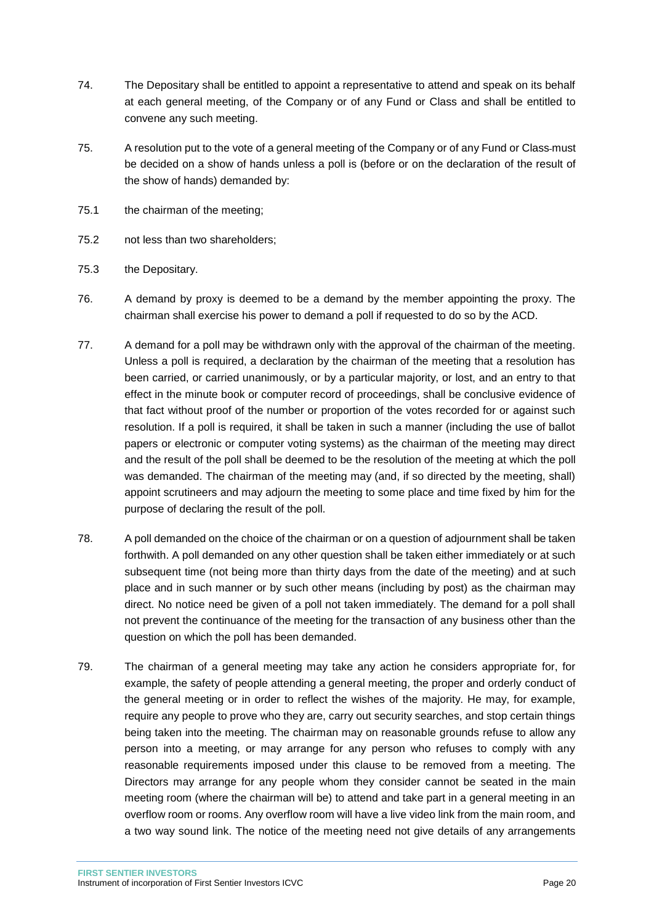- 74. The Depositary shall be entitled to appoint a representative to attend and speak on its behalf at each general meeting, of the Company or of any Fund or Class and shall be entitled to convene any such meeting.
- 75. A resolution put to the vote of a general meeting of the Company or of any Fund or Class must be decided on a show of hands unless a poll is (before or on the declaration of the result of the show of hands) demanded by:
- 75.1 the chairman of the meeting;
- 75.2 not less than two shareholders;
- 75.3 the Depositary.
- 76. A demand by proxy is deemed to be a demand by the member appointing the proxy. The chairman shall exercise his power to demand a poll if requested to do so by the ACD.
- 77. A demand for a poll may be withdrawn only with the approval of the chairman of the meeting. Unless a poll is required, a declaration by the chairman of the meeting that a resolution has been carried, or carried unanimously, or by a particular majority, or lost, and an entry to that effect in the minute book or computer record of proceedings, shall be conclusive evidence of that fact without proof of the number or proportion of the votes recorded for or against such resolution. If a poll is required, it shall be taken in such a manner (including the use of ballot papers or electronic or computer voting systems) as the chairman of the meeting may direct and the result of the poll shall be deemed to be the resolution of the meeting at which the poll was demanded. The chairman of the meeting may (and, if so directed by the meeting, shall) appoint scrutineers and may adjourn the meeting to some place and time fixed by him for the purpose of declaring the result of the poll.
- 78. A poll demanded on the choice of the chairman or on a question of adjournment shall be taken forthwith. A poll demanded on any other question shall be taken either immediately or at such subsequent time (not being more than thirty days from the date of the meeting) and at such place and in such manner or by such other means (including by post) as the chairman may direct. No notice need be given of a poll not taken immediately. The demand for a poll shall not prevent the continuance of the meeting for the transaction of any business other than the question on which the poll has been demanded.
- 79. The chairman of a general meeting may take any action he considers appropriate for, for example, the safety of people attending a general meeting, the proper and orderly conduct of the general meeting or in order to reflect the wishes of the majority. He may, for example, require any people to prove who they are, carry out security searches, and stop certain things being taken into the meeting. The chairman may on reasonable grounds refuse to allow any person into a meeting, or may arrange for any person who refuses to comply with any reasonable requirements imposed under this clause to be removed from a meeting. The Directors may arrange for any people whom they consider cannot be seated in the main meeting room (where the chairman will be) to attend and take part in a general meeting in an overflow room or rooms. Any overflow room will have a live video link from the main room, and a two way sound link. The notice of the meeting need not give details of any arrangements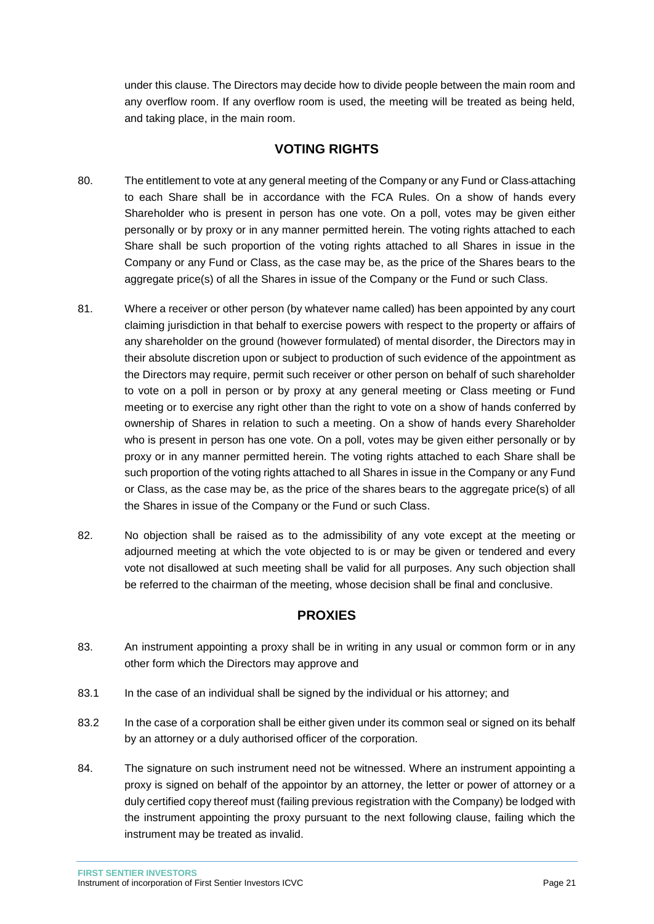under this clause. The Directors may decide how to divide people between the main room and any overflow room. If any overflow room is used, the meeting will be treated as being held, and taking place, in the main room.

# **VOTING RIGHTS**

- <span id="page-21-0"></span>80. The entitlement to vote at any general meeting of the Company or any Fund or Class attaching to each Share shall be in accordance with the FCA Rules. On a show of hands every Shareholder who is present in person has one vote. On a poll, votes may be given either personally or by proxy or in any manner permitted herein. The voting rights attached to each Share shall be such proportion of the voting rights attached to all Shares in issue in the Company or any Fund or Class, as the case may be, as the price of the Shares bears to the aggregate price(s) of all the Shares in issue of the Company or the Fund or such Class.
- 81. Where a receiver or other person (by whatever name called) has been appointed by any court claiming jurisdiction in that behalf to exercise powers with respect to the property or affairs of any shareholder on the ground (however formulated) of mental disorder, the Directors may in their absolute discretion upon or subject to production of such evidence of the appointment as the Directors may require, permit such receiver or other person on behalf of such shareholder to vote on a poll in person or by proxy at any general meeting or Class meeting or Fund meeting or to exercise any right other than the right to vote on a show of hands conferred by ownership of Shares in relation to such a meeting. On a show of hands every Shareholder who is present in person has one vote. On a poll, votes may be given either personally or by proxy or in any manner permitted herein. The voting rights attached to each Share shall be such proportion of the voting rights attached to all Shares in issue in the Company or any Fund or Class, as the case may be, as the price of the shares bears to the aggregate price(s) of all the Shares in issue of the Company or the Fund or such Class.
- 82. No objection shall be raised as to the admissibility of any vote except at the meeting or adjourned meeting at which the vote objected to is or may be given or tendered and every vote not disallowed at such meeting shall be valid for all purposes. Any such objection shall be referred to the chairman of the meeting, whose decision shall be final and conclusive.

# **PROXIES**

- <span id="page-21-1"></span>83. An instrument appointing a proxy shall be in writing in any usual or common form or in any other form which the Directors may approve and
- 83.1 In the case of an individual shall be signed by the individual or his attorney; and
- 83.2 In the case of a corporation shall be either given under its common seal or signed on its behalf by an attorney or a duly authorised officer of the corporation.
- 84. The signature on such instrument need not be witnessed. Where an instrument appointing a proxy is signed on behalf of the appointor by an attorney, the letter or power of attorney or a duly certified copy thereof must (failing previous registration with the Company) be lodged with the instrument appointing the proxy pursuant to the next following clause, failing which the instrument may be treated as invalid.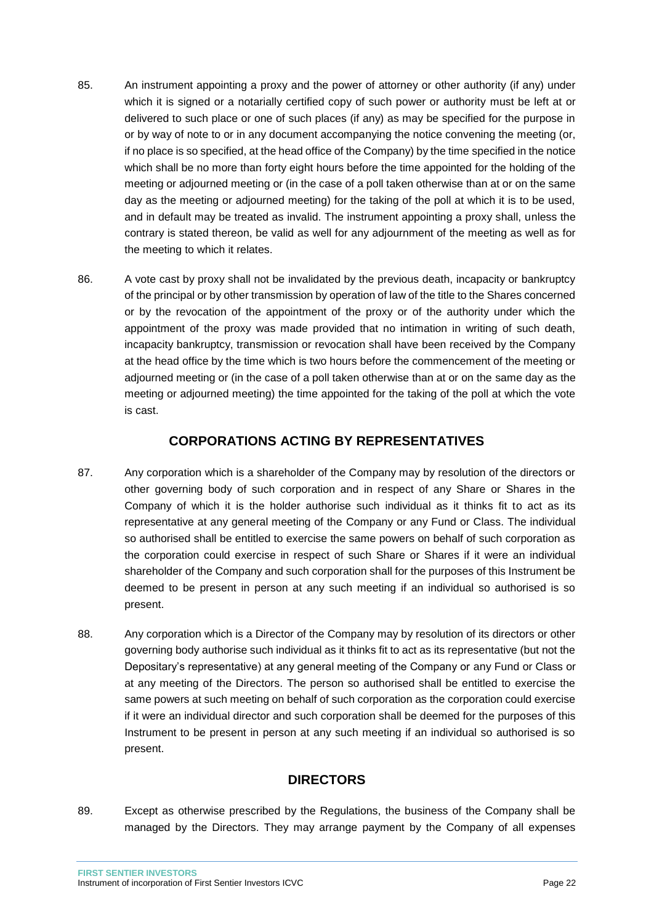- 85. An instrument appointing a proxy and the power of attorney or other authority (if any) under which it is signed or a notarially certified copy of such power or authority must be left at or delivered to such place or one of such places (if any) as may be specified for the purpose in or by way of note to or in any document accompanying the notice convening the meeting (or, if no place is so specified, at the head office of the Company) by the time specified in the notice which shall be no more than forty eight hours before the time appointed for the holding of the meeting or adjourned meeting or (in the case of a poll taken otherwise than at or on the same day as the meeting or adjourned meeting) for the taking of the poll at which it is to be used, and in default may be treated as invalid. The instrument appointing a proxy shall, unless the contrary is stated thereon, be valid as well for any adjournment of the meeting as well as for the meeting to which it relates.
- 86. A vote cast by proxy shall not be invalidated by the previous death, incapacity or bankruptcy of the principal or by other transmission by operation of law of the title to the Shares concerned or by the revocation of the appointment of the proxy or of the authority under which the appointment of the proxy was made provided that no intimation in writing of such death, incapacity bankruptcy, transmission or revocation shall have been received by the Company at the head office by the time which is two hours before the commencement of the meeting or adjourned meeting or (in the case of a poll taken otherwise than at or on the same day as the meeting or adjourned meeting) the time appointed for the taking of the poll at which the vote is cast.

### **CORPORATIONS ACTING BY REPRESENTATIVES**

- <span id="page-22-0"></span>87. Any corporation which is a shareholder of the Company may by resolution of the directors or other governing body of such corporation and in respect of any Share or Shares in the Company of which it is the holder authorise such individual as it thinks fit to act as its representative at any general meeting of the Company or any Fund or Class. The individual so authorised shall be entitled to exercise the same powers on behalf of such corporation as the corporation could exercise in respect of such Share or Shares if it were an individual shareholder of the Company and such corporation shall for the purposes of this Instrument be deemed to be present in person at any such meeting if an individual so authorised is so present.
- 88. Any corporation which is a Director of the Company may by resolution of its directors or other governing body authorise such individual as it thinks fit to act as its representative (but not the Depositary's representative) at any general meeting of the Company or any Fund or Class or at any meeting of the Directors. The person so authorised shall be entitled to exercise the same powers at such meeting on behalf of such corporation as the corporation could exercise if it were an individual director and such corporation shall be deemed for the purposes of this Instrument to be present in person at any such meeting if an individual so authorised is so present.

# **DIRECTORS**

<span id="page-22-1"></span>89. Except as otherwise prescribed by the Regulations, the business of the Company shall be managed by the Directors. They may arrange payment by the Company of all expenses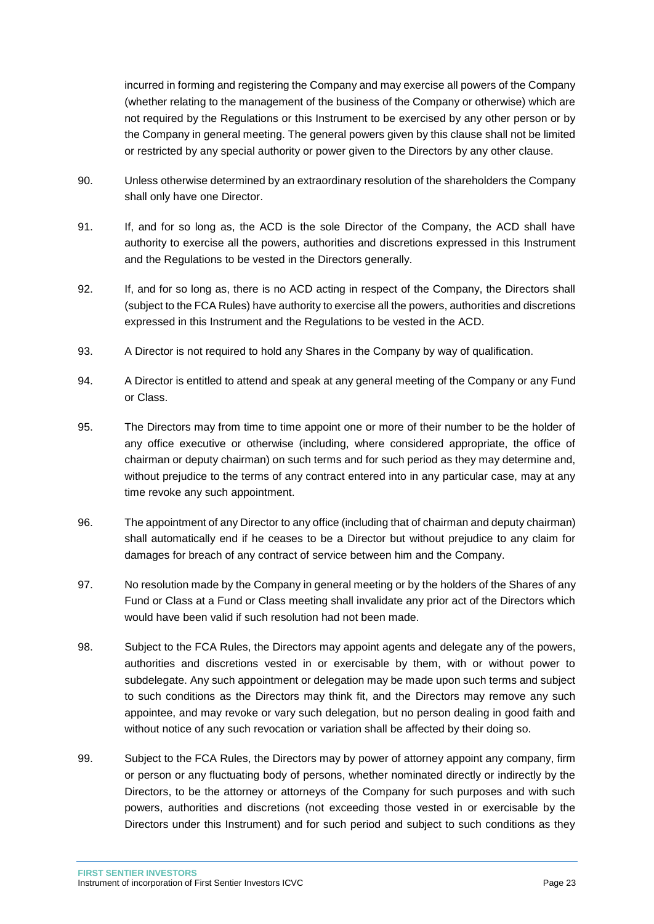incurred in forming and registering the Company and may exercise all powers of the Company (whether relating to the management of the business of the Company or otherwise) which are not required by the Regulations or this Instrument to be exercised by any other person or by the Company in general meeting. The general powers given by this clause shall not be limited or restricted by any special authority or power given to the Directors by any other clause.

- 90. Unless otherwise determined by an extraordinary resolution of the shareholders the Company shall only have one Director.
- 91. If, and for so long as, the ACD is the sole Director of the Company, the ACD shall have authority to exercise all the powers, authorities and discretions expressed in this Instrument and the Regulations to be vested in the Directors generally.
- 92. If, and for so long as, there is no ACD acting in respect of the Company, the Directors shall (subject to the FCA Rules) have authority to exercise all the powers, authorities and discretions expressed in this Instrument and the Regulations to be vested in the ACD.
- 93. A Director is not required to hold any Shares in the Company by way of qualification.
- 94. A Director is entitled to attend and speak at any general meeting of the Company or any Fund or Class.
- 95. The Directors may from time to time appoint one or more of their number to be the holder of any office executive or otherwise (including, where considered appropriate, the office of chairman or deputy chairman) on such terms and for such period as they may determine and, without prejudice to the terms of any contract entered into in any particular case, may at any time revoke any such appointment.
- 96. The appointment of any Director to any office (including that of chairman and deputy chairman) shall automatically end if he ceases to be a Director but without prejudice to any claim for damages for breach of any contract of service between him and the Company.
- 97. No resolution made by the Company in general meeting or by the holders of the Shares of any Fund or Class at a Fund or Class meeting shall invalidate any prior act of the Directors which would have been valid if such resolution had not been made.
- 98. Subject to the FCA Rules, the Directors may appoint agents and delegate any of the powers, authorities and discretions vested in or exercisable by them, with or without power to subdelegate. Any such appointment or delegation may be made upon such terms and subject to such conditions as the Directors may think fit, and the Directors may remove any such appointee, and may revoke or vary such delegation, but no person dealing in good faith and without notice of any such revocation or variation shall be affected by their doing so.
- 99. Subject to the FCA Rules, the Directors may by power of attorney appoint any company, firm or person or any fluctuating body of persons, whether nominated directly or indirectly by the Directors, to be the attorney or attorneys of the Company for such purposes and with such powers, authorities and discretions (not exceeding those vested in or exercisable by the Directors under this Instrument) and for such period and subject to such conditions as they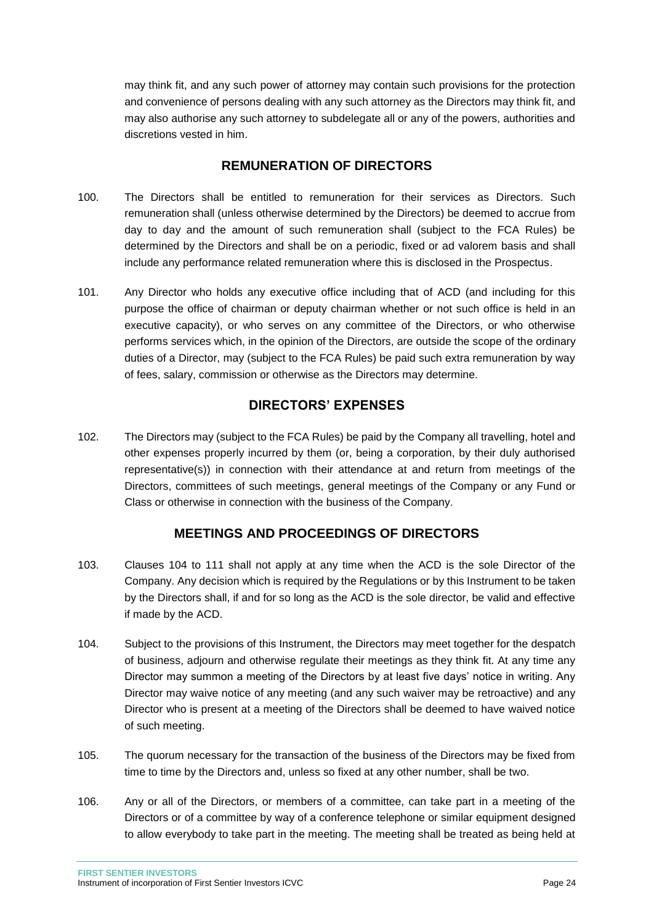may think fit, and any such power of attorney may contain such provisions for the protection and convenience of persons dealing with any such attorney as the Directors may think fit, and may also authorise any such attorney to subdelegate all or any of the powers, authorities and discretions vested in him.

# **REMUNERATION OF DIRECTORS**

- <span id="page-24-0"></span>100. The Directors shall be entitled to remuneration for their services as Directors. Such remuneration shall (unless otherwise determined by the Directors) be deemed to accrue from day to day and the amount of such remuneration shall (subject to the FCA Rules) be determined by the Directors and shall be on a periodic, fixed or ad valorem basis and shall include any performance related remuneration where this is disclosed in the Prospectus.
- 101. Any Director who holds any executive office including that of ACD (and including for this purpose the office of chairman or deputy chairman whether or not such office is held in an executive capacity), or who serves on any committee of the Directors, or who otherwise performs services which, in the opinion of the Directors, are outside the scope of the ordinary duties of a Director, may (subject to the FCA Rules) be paid such extra remuneration by way of fees, salary, commission or otherwise as the Directors may determine.

# **DIRECTORS' EXPENSES**

<span id="page-24-1"></span>102. The Directors may (subject to the FCA Rules) be paid by the Company all travelling, hotel and other expenses properly incurred by them (or, being a corporation, by their duly authorised representative(s)) in connection with their attendance at and return from meetings of the Directors, committees of such meetings, general meetings of the Company or any Fund or Class or otherwise in connection with the business of the Company.

# **MEETINGS AND PROCEEDINGS OF DIRECTORS**

- <span id="page-24-2"></span>103. Clauses 104 to 111 shall not apply at any time when the ACD is the sole Director of the Company. Any decision which is required by the Regulations or by this Instrument to be taken by the Directors shall, if and for so long as the ACD is the sole director, be valid and effective if made by the ACD.
- 104. Subject to the provisions of this Instrument, the Directors may meet together for the despatch of business, adjourn and otherwise regulate their meetings as they think fit. At any time any Director may summon a meeting of the Directors by at least five days' notice in writing. Any Director may waive notice of any meeting (and any such waiver may be retroactive) and any Director who is present at a meeting of the Directors shall be deemed to have waived notice of such meeting.
- 105. The quorum necessary for the transaction of the business of the Directors may be fixed from time to time by the Directors and, unless so fixed at any other number, shall be two.
- 106. Any or all of the Directors, or members of a committee, can take part in a meeting of the Directors or of a committee by way of a conference telephone or similar equipment designed to allow everybody to take part in the meeting. The meeting shall be treated as being held at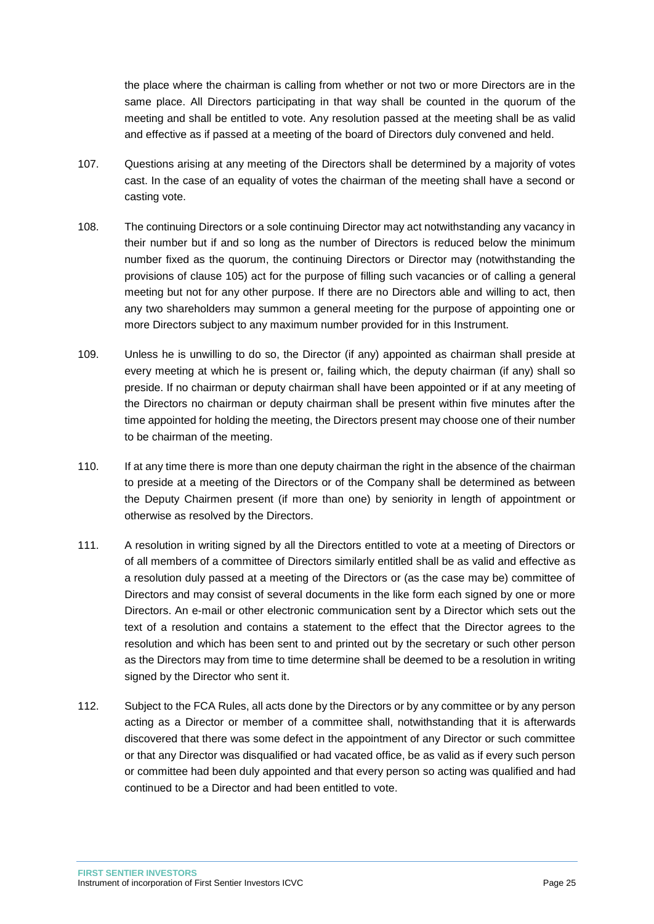the place where the chairman is calling from whether or not two or more Directors are in the same place. All Directors participating in that way shall be counted in the quorum of the meeting and shall be entitled to vote. Any resolution passed at the meeting shall be as valid and effective as if passed at a meeting of the board of Directors duly convened and held.

- 107. Questions arising at any meeting of the Directors shall be determined by a majority of votes cast. In the case of an equality of votes the chairman of the meeting shall have a second or casting vote.
- 108. The continuing Directors or a sole continuing Director may act notwithstanding any vacancy in their number but if and so long as the number of Directors is reduced below the minimum number fixed as the quorum, the continuing Directors or Director may (notwithstanding the provisions of clause 105) act for the purpose of filling such vacancies or of calling a general meeting but not for any other purpose. If there are no Directors able and willing to act, then any two shareholders may summon a general meeting for the purpose of appointing one or more Directors subject to any maximum number provided for in this Instrument.
- 109. Unless he is unwilling to do so, the Director (if any) appointed as chairman shall preside at every meeting at which he is present or, failing which, the deputy chairman (if any) shall so preside. If no chairman or deputy chairman shall have been appointed or if at any meeting of the Directors no chairman or deputy chairman shall be present within five minutes after the time appointed for holding the meeting, the Directors present may choose one of their number to be chairman of the meeting.
- 110. If at any time there is more than one deputy chairman the right in the absence of the chairman to preside at a meeting of the Directors or of the Company shall be determined as between the Deputy Chairmen present (if more than one) by seniority in length of appointment or otherwise as resolved by the Directors.
- 111. A resolution in writing signed by all the Directors entitled to vote at a meeting of Directors or of all members of a committee of Directors similarly entitled shall be as valid and effective as a resolution duly passed at a meeting of the Directors or (as the case may be) committee of Directors and may consist of several documents in the like form each signed by one or more Directors. An e-mail or other electronic communication sent by a Director which sets out the text of a resolution and contains a statement to the effect that the Director agrees to the resolution and which has been sent to and printed out by the secretary or such other person as the Directors may from time to time determine shall be deemed to be a resolution in writing signed by the Director who sent it.
- 112. Subject to the FCA Rules, all acts done by the Directors or by any committee or by any person acting as a Director or member of a committee shall, notwithstanding that it is afterwards discovered that there was some defect in the appointment of any Director or such committee or that any Director was disqualified or had vacated office, be as valid as if every such person or committee had been duly appointed and that every person so acting was qualified and had continued to be a Director and had been entitled to vote.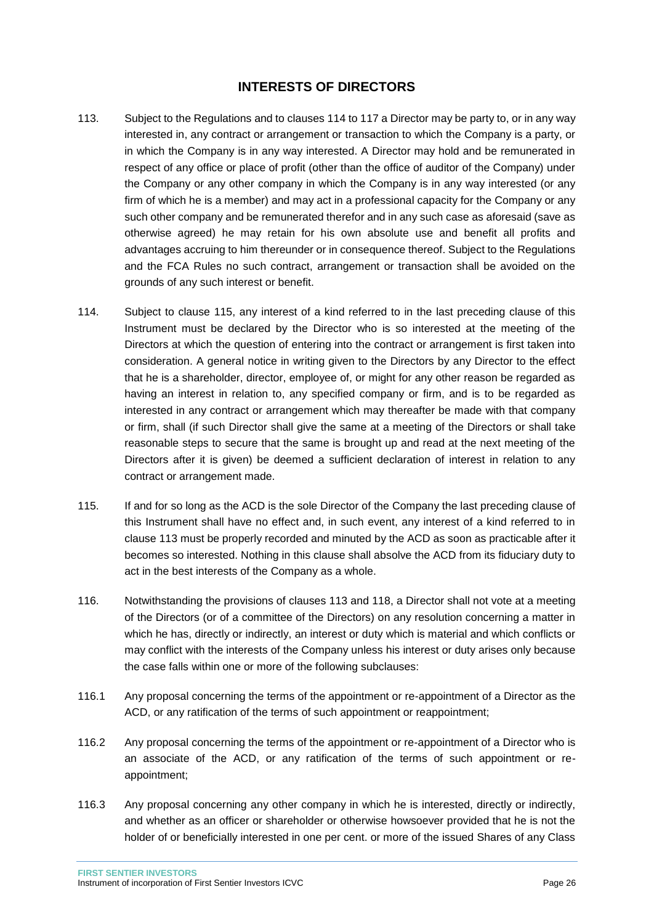### **INTERESTS OF DIRECTORS**

- <span id="page-26-0"></span>113. Subject to the Regulations and to clauses 114 to 117 a Director may be party to, or in any way interested in, any contract or arrangement or transaction to which the Company is a party, or in which the Company is in any way interested. A Director may hold and be remunerated in respect of any office or place of profit (other than the office of auditor of the Company) under the Company or any other company in which the Company is in any way interested (or any firm of which he is a member) and may act in a professional capacity for the Company or any such other company and be remunerated therefor and in any such case as aforesaid (save as otherwise agreed) he may retain for his own absolute use and benefit all profits and advantages accruing to him thereunder or in consequence thereof. Subject to the Regulations and the FCA Rules no such contract, arrangement or transaction shall be avoided on the grounds of any such interest or benefit.
- 114. Subject to clause 115, any interest of a kind referred to in the last preceding clause of this Instrument must be declared by the Director who is so interested at the meeting of the Directors at which the question of entering into the contract or arrangement is first taken into consideration. A general notice in writing given to the Directors by any Director to the effect that he is a shareholder, director, employee of, or might for any other reason be regarded as having an interest in relation to, any specified company or firm, and is to be regarded as interested in any contract or arrangement which may thereafter be made with that company or firm, shall (if such Director shall give the same at a meeting of the Directors or shall take reasonable steps to secure that the same is brought up and read at the next meeting of the Directors after it is given) be deemed a sufficient declaration of interest in relation to any contract or arrangement made.
- 115. If and for so long as the ACD is the sole Director of the Company the last preceding clause of this Instrument shall have no effect and, in such event, any interest of a kind referred to in clause 113 must be properly recorded and minuted by the ACD as soon as practicable after it becomes so interested. Nothing in this clause shall absolve the ACD from its fiduciary duty to act in the best interests of the Company as a whole.
- 116. Notwithstanding the provisions of clauses 113 and 118, a Director shall not vote at a meeting of the Directors (or of a committee of the Directors) on any resolution concerning a matter in which he has, directly or indirectly, an interest or duty which is material and which conflicts or may conflict with the interests of the Company unless his interest or duty arises only because the case falls within one or more of the following subclauses:
- 116.1 Any proposal concerning the terms of the appointment or re-appointment of a Director as the ACD, or any ratification of the terms of such appointment or reappointment;
- 116.2 Any proposal concerning the terms of the appointment or re-appointment of a Director who is an associate of the ACD, or any ratification of the terms of such appointment or reappointment;
- 116.3 Any proposal concerning any other company in which he is interested, directly or indirectly, and whether as an officer or shareholder or otherwise howsoever provided that he is not the holder of or beneficially interested in one per cent. or more of the issued Shares of any Class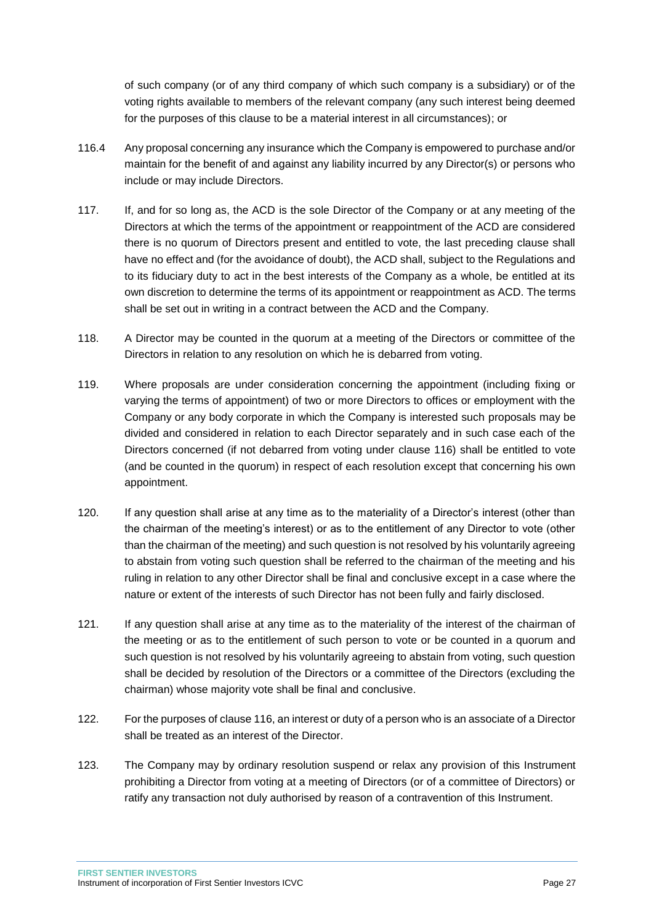of such company (or of any third company of which such company is a subsidiary) or of the voting rights available to members of the relevant company (any such interest being deemed for the purposes of this clause to be a material interest in all circumstances); or

- 116.4 Any proposal concerning any insurance which the Company is empowered to purchase and/or maintain for the benefit of and against any liability incurred by any Director(s) or persons who include or may include Directors.
- 117. If, and for so long as, the ACD is the sole Director of the Company or at any meeting of the Directors at which the terms of the appointment or reappointment of the ACD are considered there is no quorum of Directors present and entitled to vote, the last preceding clause shall have no effect and (for the avoidance of doubt), the ACD shall, subject to the Regulations and to its fiduciary duty to act in the best interests of the Company as a whole, be entitled at its own discretion to determine the terms of its appointment or reappointment as ACD. The terms shall be set out in writing in a contract between the ACD and the Company.
- 118. A Director may be counted in the quorum at a meeting of the Directors or committee of the Directors in relation to any resolution on which he is debarred from voting.
- 119. Where proposals are under consideration concerning the appointment (including fixing or varying the terms of appointment) of two or more Directors to offices or employment with the Company or any body corporate in which the Company is interested such proposals may be divided and considered in relation to each Director separately and in such case each of the Directors concerned (if not debarred from voting under clause 116) shall be entitled to vote (and be counted in the quorum) in respect of each resolution except that concerning his own appointment.
- 120. If any question shall arise at any time as to the materiality of a Director's interest (other than the chairman of the meeting's interest) or as to the entitlement of any Director to vote (other than the chairman of the meeting) and such question is not resolved by his voluntarily agreeing to abstain from voting such question shall be referred to the chairman of the meeting and his ruling in relation to any other Director shall be final and conclusive except in a case where the nature or extent of the interests of such Director has not been fully and fairly disclosed.
- 121. If any question shall arise at any time as to the materiality of the interest of the chairman of the meeting or as to the entitlement of such person to vote or be counted in a quorum and such question is not resolved by his voluntarily agreeing to abstain from voting, such question shall be decided by resolution of the Directors or a committee of the Directors (excluding the chairman) whose majority vote shall be final and conclusive.
- 122. For the purposes of clause 116, an interest or duty of a person who is an associate of a Director shall be treated as an interest of the Director.
- 123. The Company may by ordinary resolution suspend or relax any provision of this Instrument prohibiting a Director from voting at a meeting of Directors (or of a committee of Directors) or ratify any transaction not duly authorised by reason of a contravention of this Instrument.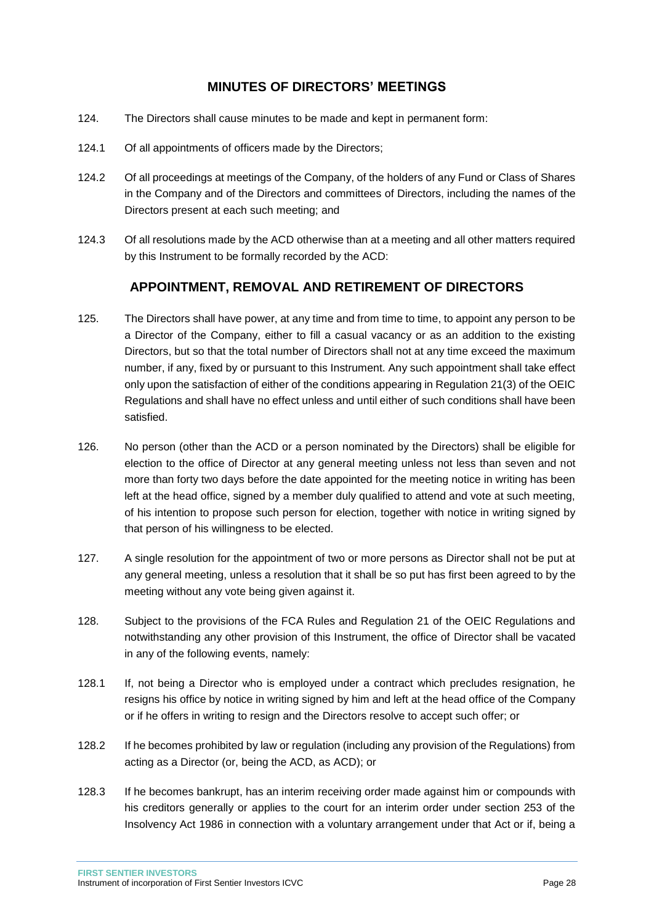### **MINUTES OF DIRECTORS' MEETINGS**

- <span id="page-28-0"></span>124. The Directors shall cause minutes to be made and kept in permanent form:
- 124.1 Of all appointments of officers made by the Directors;
- 124.2 Of all proceedings at meetings of the Company, of the holders of any Fund or Class of Shares in the Company and of the Directors and committees of Directors, including the names of the Directors present at each such meeting; and
- 124.3 Of all resolutions made by the ACD otherwise than at a meeting and all other matters required by this Instrument to be formally recorded by the ACD:

# **APPOINTMENT, REMOVAL AND RETIREMENT OF DIRECTORS**

- <span id="page-28-1"></span>125. The Directors shall have power, at any time and from time to time, to appoint any person to be a Director of the Company, either to fill a casual vacancy or as an addition to the existing Directors, but so that the total number of Directors shall not at any time exceed the maximum number, if any, fixed by or pursuant to this Instrument. Any such appointment shall take effect only upon the satisfaction of either of the conditions appearing in Regulation 21(3) of the OEIC Regulations and shall have no effect unless and until either of such conditions shall have been satisfied.
- 126. No person (other than the ACD or a person nominated by the Directors) shall be eligible for election to the office of Director at any general meeting unless not less than seven and not more than forty two days before the date appointed for the meeting notice in writing has been left at the head office, signed by a member duly qualified to attend and vote at such meeting, of his intention to propose such person for election, together with notice in writing signed by that person of his willingness to be elected.
- 127. A single resolution for the appointment of two or more persons as Director shall not be put at any general meeting, unless a resolution that it shall be so put has first been agreed to by the meeting without any vote being given against it.
- 128. Subject to the provisions of the FCA Rules and Regulation 21 of the OEIC Regulations and notwithstanding any other provision of this Instrument, the office of Director shall be vacated in any of the following events, namely:
- 128.1 If, not being a Director who is employed under a contract which precludes resignation, he resigns his office by notice in writing signed by him and left at the head office of the Company or if he offers in writing to resign and the Directors resolve to accept such offer; or
- 128.2 If he becomes prohibited by law or regulation (including any provision of the Regulations) from acting as a Director (or, being the ACD, as ACD); or
- 128.3 If he becomes bankrupt, has an interim receiving order made against him or compounds with his creditors generally or applies to the court for an interim order under section 253 of the Insolvency Act 1986 in connection with a voluntary arrangement under that Act or if, being a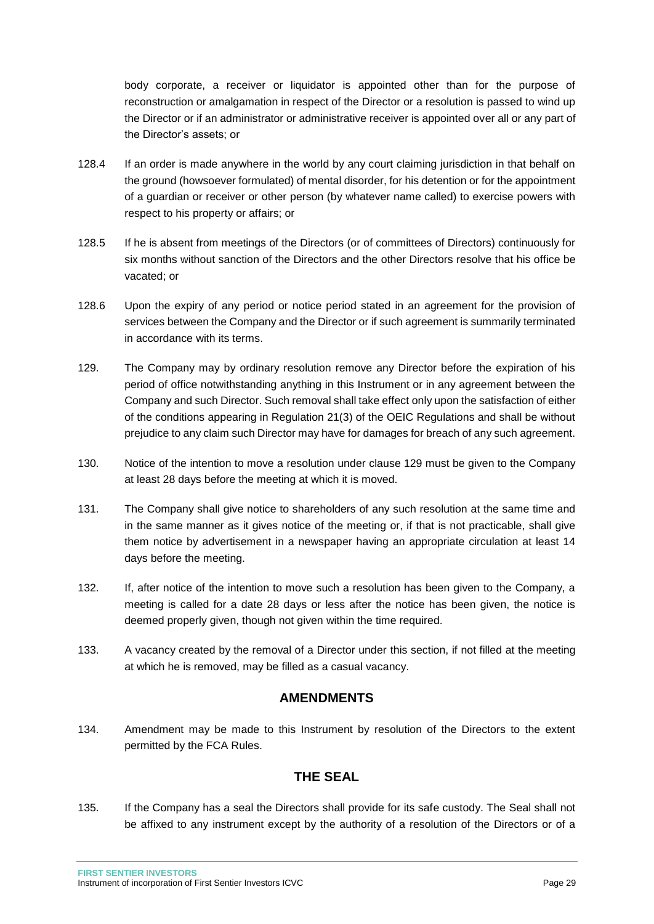body corporate, a receiver or liquidator is appointed other than for the purpose of reconstruction or amalgamation in respect of the Director or a resolution is passed to wind up the Director or if an administrator or administrative receiver is appointed over all or any part of the Director's assets; or

- 128.4 If an order is made anywhere in the world by any court claiming jurisdiction in that behalf on the ground (howsoever formulated) of mental disorder, for his detention or for the appointment of a guardian or receiver or other person (by whatever name called) to exercise powers with respect to his property or affairs; or
- 128.5 If he is absent from meetings of the Directors (or of committees of Directors) continuously for six months without sanction of the Directors and the other Directors resolve that his office be vacated; or
- 128.6 Upon the expiry of any period or notice period stated in an agreement for the provision of services between the Company and the Director or if such agreement is summarily terminated in accordance with its terms.
- 129. The Company may by ordinary resolution remove any Director before the expiration of his period of office notwithstanding anything in this Instrument or in any agreement between the Company and such Director. Such removal shall take effect only upon the satisfaction of either of the conditions appearing in Regulation 21(3) of the OEIC Regulations and shall be without prejudice to any claim such Director may have for damages for breach of any such agreement.
- 130. Notice of the intention to move a resolution under clause 129 must be given to the Company at least 28 days before the meeting at which it is moved.
- 131. The Company shall give notice to shareholders of any such resolution at the same time and in the same manner as it gives notice of the meeting or, if that is not practicable, shall give them notice by advertisement in a newspaper having an appropriate circulation at least 14 days before the meeting.
- 132. If, after notice of the intention to move such a resolution has been given to the Company, a meeting is called for a date 28 days or less after the notice has been given, the notice is deemed properly given, though not given within the time required.
- 133. A vacancy created by the removal of a Director under this section, if not filled at the meeting at which he is removed, may be filled as a casual vacancy.

### **AMENDMENTS**

<span id="page-29-0"></span>134. Amendment may be made to this Instrument by resolution of the Directors to the extent permitted by the FCA Rules.

# **THE SEAL**

<span id="page-29-1"></span>135. If the Company has a seal the Directors shall provide for its safe custody. The Seal shall not be affixed to any instrument except by the authority of a resolution of the Directors or of a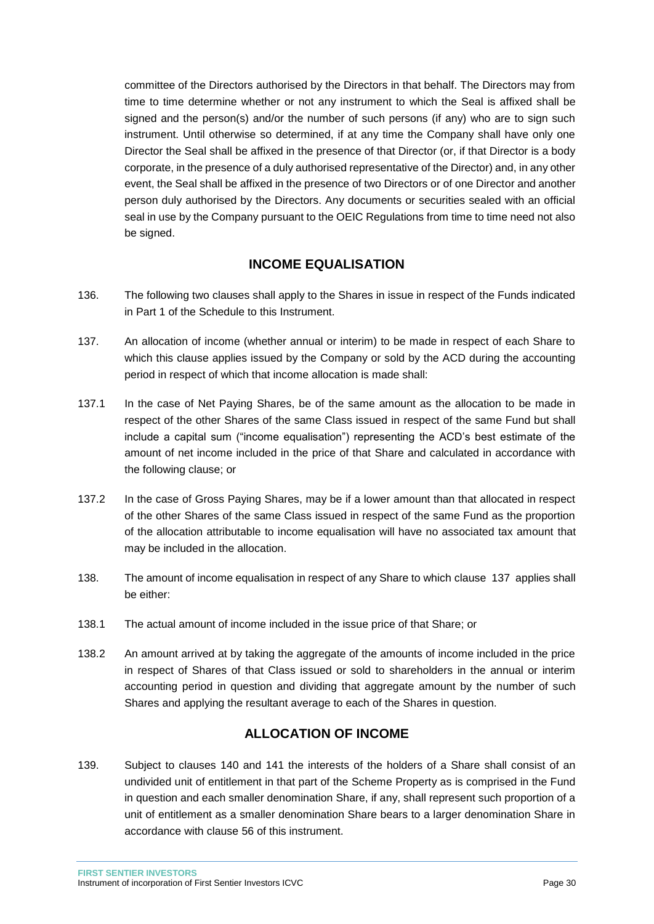committee of the Directors authorised by the Directors in that behalf. The Directors may from time to time determine whether or not any instrument to which the Seal is affixed shall be signed and the person(s) and/or the number of such persons (if any) who are to sign such instrument. Until otherwise so determined, if at any time the Company shall have only one Director the Seal shall be affixed in the presence of that Director (or, if that Director is a body corporate, in the presence of a duly authorised representative of the Director) and, in any other event, the Seal shall be affixed in the presence of two Directors or of one Director and another person duly authorised by the Directors. Any documents or securities sealed with an official seal in use by the Company pursuant to the OEIC Regulations from time to time need not also be signed.

# **INCOME EQUALISATION**

- <span id="page-30-0"></span>136. The following two clauses shall apply to the Shares in issue in respect of the Funds indicated in Part 1 of the Schedule to this Instrument.
- 137. An allocation of income (whether annual or interim) to be made in respect of each Share to which this clause applies issued by the Company or sold by the ACD during the accounting period in respect of which that income allocation is made shall:
- 137.1 In the case of Net Paying Shares, be of the same amount as the allocation to be made in respect of the other Shares of the same Class issued in respect of the same Fund but shall include a capital sum ("income equalisation") representing the ACD's best estimate of the amount of net income included in the price of that Share and calculated in accordance with the following clause; or
- 137.2 In the case of Gross Paying Shares, may be if a lower amount than that allocated in respect of the other Shares of the same Class issued in respect of the same Fund as the proportion of the allocation attributable to income equalisation will have no associated tax amount that may be included in the allocation.
- 138. The amount of income equalisation in respect of any Share to which clause 137 applies shall be either:
- 138.1 The actual amount of income included in the issue price of that Share; or
- 138.2 An amount arrived at by taking the aggregate of the amounts of income included in the price in respect of Shares of that Class issued or sold to shareholders in the annual or interim accounting period in question and dividing that aggregate amount by the number of such Shares and applying the resultant average to each of the Shares in question.

### **ALLOCATION OF INCOME**

<span id="page-30-1"></span>139. Subject to clauses 140 and 141 the interests of the holders of a Share shall consist of an undivided unit of entitlement in that part of the Scheme Property as is comprised in the Fund in question and each smaller denomination Share, if any, shall represent such proportion of a unit of entitlement as a smaller denomination Share bears to a larger denomination Share in accordance with clause 56 of this instrument.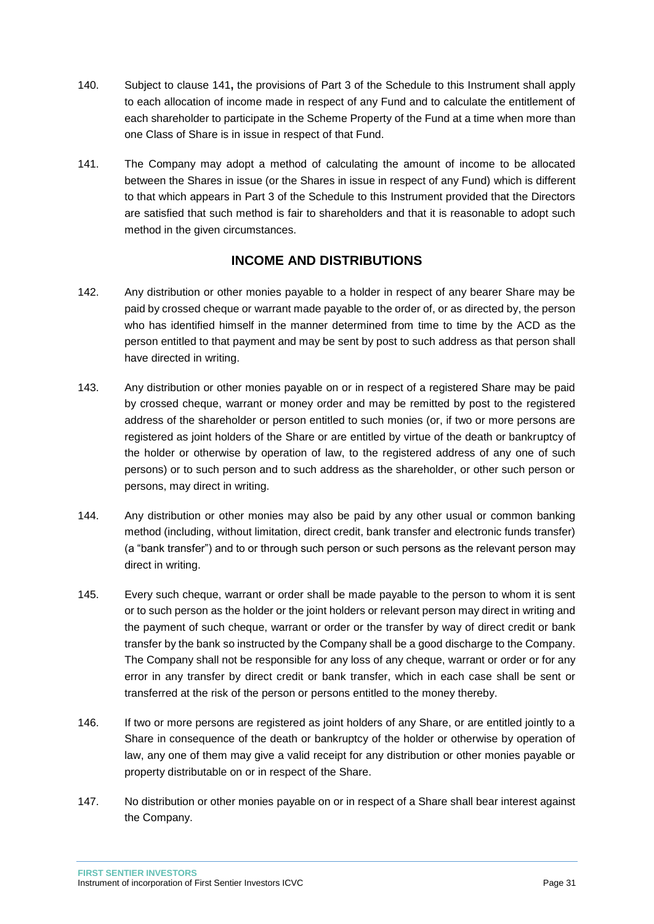- 140. Subject to clause 141**,** the provisions of Part 3 of the Schedule to this Instrument shall apply to each allocation of income made in respect of any Fund and to calculate the entitlement of each shareholder to participate in the Scheme Property of the Fund at a time when more than one Class of Share is in issue in respect of that Fund.
- 141. The Company may adopt a method of calculating the amount of income to be allocated between the Shares in issue (or the Shares in issue in respect of any Fund) which is different to that which appears in Part 3 of the Schedule to this Instrument provided that the Directors are satisfied that such method is fair to shareholders and that it is reasonable to adopt such method in the given circumstances.

### **INCOME AND DISTRIBUTIONS**

- <span id="page-31-0"></span>142. Any distribution or other monies payable to a holder in respect of any bearer Share may be paid by crossed cheque or warrant made payable to the order of, or as directed by, the person who has identified himself in the manner determined from time to time by the ACD as the person entitled to that payment and may be sent by post to such address as that person shall have directed in writing.
- 143. Any distribution or other monies payable on or in respect of a registered Share may be paid by crossed cheque, warrant or money order and may be remitted by post to the registered address of the shareholder or person entitled to such monies (or, if two or more persons are registered as joint holders of the Share or are entitled by virtue of the death or bankruptcy of the holder or otherwise by operation of law, to the registered address of any one of such persons) or to such person and to such address as the shareholder, or other such person or persons, may direct in writing.
- 144. Any distribution or other monies may also be paid by any other usual or common banking method (including, without limitation, direct credit, bank transfer and electronic funds transfer) (a "bank transfer") and to or through such person or such persons as the relevant person may direct in writing.
- 145. Every such cheque, warrant or order shall be made payable to the person to whom it is sent or to such person as the holder or the joint holders or relevant person may direct in writing and the payment of such cheque, warrant or order or the transfer by way of direct credit or bank transfer by the bank so instructed by the Company shall be a good discharge to the Company. The Company shall not be responsible for any loss of any cheque, warrant or order or for any error in any transfer by direct credit or bank transfer, which in each case shall be sent or transferred at the risk of the person or persons entitled to the money thereby.
- 146. If two or more persons are registered as joint holders of any Share, or are entitled jointly to a Share in consequence of the death or bankruptcy of the holder or otherwise by operation of law, any one of them may give a valid receipt for any distribution or other monies payable or property distributable on or in respect of the Share.
- 147. No distribution or other monies payable on or in respect of a Share shall bear interest against the Company.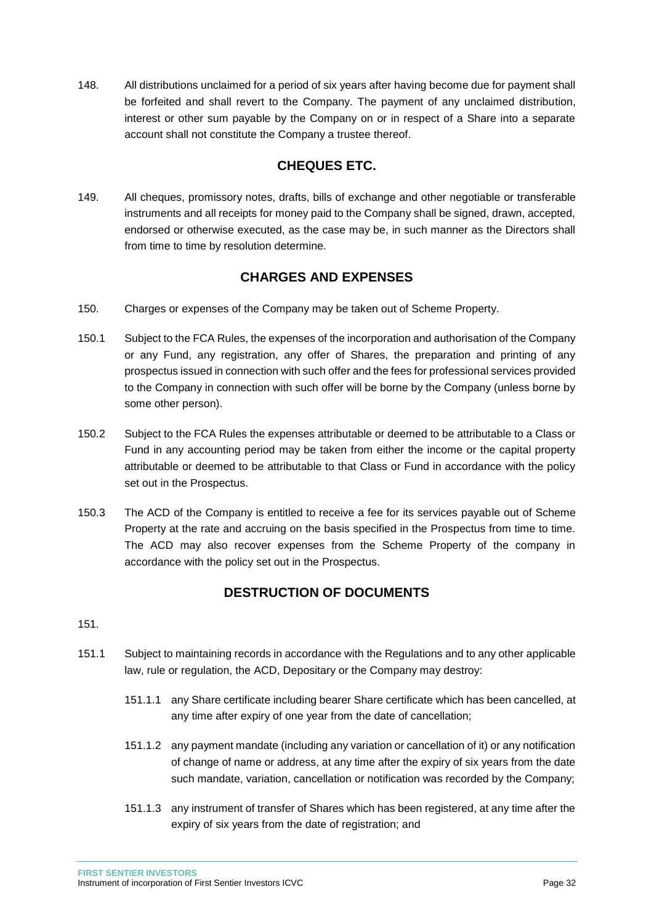148. All distributions unclaimed for a period of six years after having become due for payment shall be forfeited and shall revert to the Company. The payment of any unclaimed distribution, interest or other sum payable by the Company on or in respect of a Share into a separate account shall not constitute the Company a trustee thereof.

# **CHEQUES ETC.**

<span id="page-32-0"></span>149. All cheques, promissory notes, drafts, bills of exchange and other negotiable or transferable instruments and all receipts for money paid to the Company shall be signed, drawn, accepted, endorsed or otherwise executed, as the case may be, in such manner as the Directors shall from time to time by resolution determine.

# **CHARGES AND EXPENSES**

- <span id="page-32-1"></span>150. Charges or expenses of the Company may be taken out of Scheme Property.
- 150.1 Subject to the FCA Rules, the expenses of the incorporation and authorisation of the Company or any Fund, any registration, any offer of Shares, the preparation and printing of any prospectus issued in connection with such offer and the fees for professional services provided to the Company in connection with such offer will be borne by the Company (unless borne by some other person).
- 150.2 Subject to the FCA Rules the expenses attributable or deemed to be attributable to a Class or Fund in any accounting period may be taken from either the income or the capital property attributable or deemed to be attributable to that Class or Fund in accordance with the policy set out in the Prospectus.
- 150.3 The ACD of the Company is entitled to receive a fee for its services payable out of Scheme Property at the rate and accruing on the basis specified in the Prospectus from time to time. The ACD may also recover expenses from the Scheme Property of the company in accordance with the policy set out in the Prospectus.

# **DESTRUCTION OF DOCUMENTS**

<span id="page-32-2"></span>151.

- 151.1 Subject to maintaining records in accordance with the Regulations and to any other applicable law, rule or regulation, the ACD, Depositary or the Company may destroy:
	- 151.1.1 any Share certificate including bearer Share certificate which has been cancelled, at any time after expiry of one year from the date of cancellation;
	- 151.1.2 any payment mandate (including any variation or cancellation of it) or any notification of change of name or address, at any time after the expiry of six years from the date such mandate, variation, cancellation or notification was recorded by the Company;
	- 151.1.3 any instrument of transfer of Shares which has been registered, at any time after the expiry of six years from the date of registration; and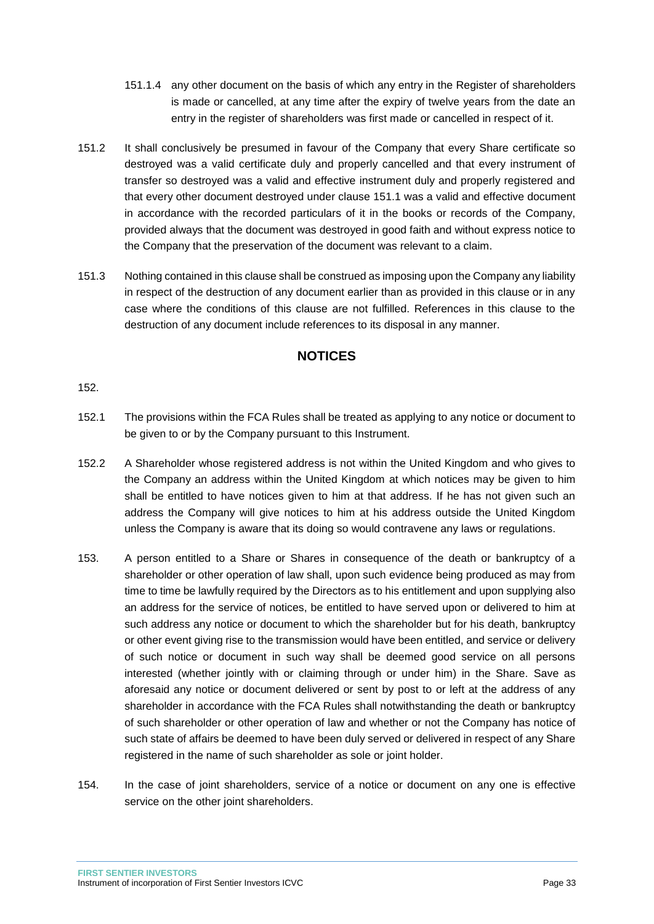- 151.1.4 any other document on the basis of which any entry in the Register of shareholders is made or cancelled, at any time after the expiry of twelve years from the date an entry in the register of shareholders was first made or cancelled in respect of it.
- 151.2 It shall conclusively be presumed in favour of the Company that every Share certificate so destroyed was a valid certificate duly and properly cancelled and that every instrument of transfer so destroyed was a valid and effective instrument duly and properly registered and that every other document destroyed under clause 151.1 was a valid and effective document in accordance with the recorded particulars of it in the books or records of the Company, provided always that the document was destroyed in good faith and without express notice to the Company that the preservation of the document was relevant to a claim.
- 151.3 Nothing contained in this clause shall be construed as imposing upon the Company any liability in respect of the destruction of any document earlier than as provided in this clause or in any case where the conditions of this clause are not fulfilled. References in this clause to the destruction of any document include references to its disposal in any manner.

### **NOTICES**

#### <span id="page-33-0"></span>152.

- 152.1 The provisions within the FCA Rules shall be treated as applying to any notice or document to be given to or by the Company pursuant to this Instrument.
- 152.2 A Shareholder whose registered address is not within the United Kingdom and who gives to the Company an address within the United Kingdom at which notices may be given to him shall be entitled to have notices given to him at that address. If he has not given such an address the Company will give notices to him at his address outside the United Kingdom unless the Company is aware that its doing so would contravene any laws or regulations.
- 153. A person entitled to a Share or Shares in consequence of the death or bankruptcy of a shareholder or other operation of law shall, upon such evidence being produced as may from time to time be lawfully required by the Directors as to his entitlement and upon supplying also an address for the service of notices, be entitled to have served upon or delivered to him at such address any notice or document to which the shareholder but for his death, bankruptcy or other event giving rise to the transmission would have been entitled, and service or delivery of such notice or document in such way shall be deemed good service on all persons interested (whether jointly with or claiming through or under him) in the Share. Save as aforesaid any notice or document delivered or sent by post to or left at the address of any shareholder in accordance with the FCA Rules shall notwithstanding the death or bankruptcy of such shareholder or other operation of law and whether or not the Company has notice of such state of affairs be deemed to have been duly served or delivered in respect of any Share registered in the name of such shareholder as sole or joint holder.
- 154. In the case of joint shareholders, service of a notice or document on any one is effective service on the other joint shareholders.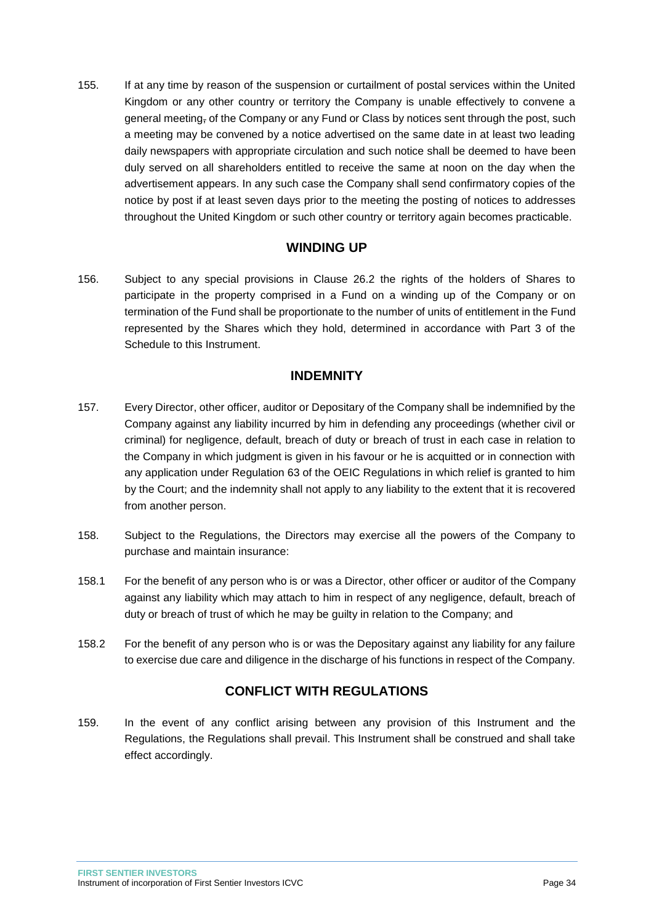155. If at any time by reason of the suspension or curtailment of postal services within the United Kingdom or any other country or territory the Company is unable effectively to convene a general meeting, of the Company or any Fund or Class by notices sent through the post, such a meeting may be convened by a notice advertised on the same date in at least two leading daily newspapers with appropriate circulation and such notice shall be deemed to have been duly served on all shareholders entitled to receive the same at noon on the day when the advertisement appears. In any such case the Company shall send confirmatory copies of the notice by post if at least seven days prior to the meeting the posting of notices to addresses throughout the United Kingdom or such other country or territory again becomes practicable.

### **WINDING UP**

<span id="page-34-0"></span>156. Subject to any special provisions in Clause 26.2 the rights of the holders of Shares to participate in the property comprised in a Fund on a winding up of the Company or on termination of the Fund shall be proportionate to the number of units of entitlement in the Fund represented by the Shares which they hold, determined in accordance with Part 3 of the Schedule to this Instrument.

### **INDEMNITY**

- <span id="page-34-1"></span>157. Every Director, other officer, auditor or Depositary of the Company shall be indemnified by the Company against any liability incurred by him in defending any proceedings (whether civil or criminal) for negligence, default, breach of duty or breach of trust in each case in relation to the Company in which judgment is given in his favour or he is acquitted or in connection with any application under Regulation 63 of the OEIC Regulations in which relief is granted to him by the Court; and the indemnity shall not apply to any liability to the extent that it is recovered from another person.
- 158. Subject to the Regulations, the Directors may exercise all the powers of the Company to purchase and maintain insurance:
- 158.1 For the benefit of any person who is or was a Director, other officer or auditor of the Company against any liability which may attach to him in respect of any negligence, default, breach of duty or breach of trust of which he may be guilty in relation to the Company; and
- 158.2 For the benefit of any person who is or was the Depositary against any liability for any failure to exercise due care and diligence in the discharge of his functions in respect of the Company.

# **CONFLICT WITH REGULATIONS**

<span id="page-34-2"></span>159. In the event of any conflict arising between any provision of this Instrument and the Regulations, the Regulations shall prevail. This Instrument shall be construed and shall take effect accordingly.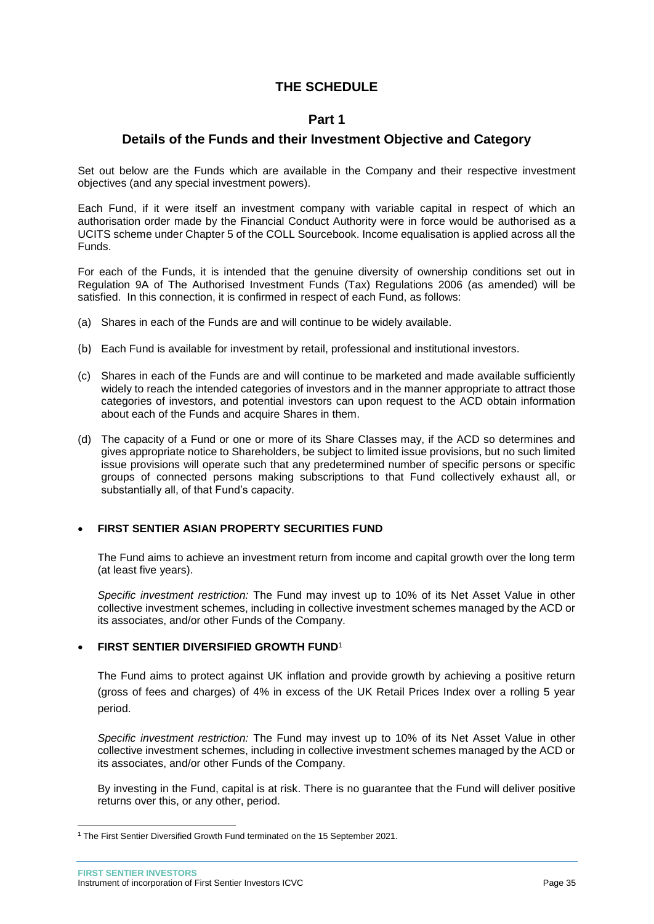### **THE SCHEDULE**

### **Part 1**

### <span id="page-35-1"></span><span id="page-35-0"></span>**Details of the Funds and their Investment Objective and Category**

Set out below are the Funds which are available in the Company and their respective investment objectives (and any special investment powers).

Each Fund, if it were itself an investment company with variable capital in respect of which an authorisation order made by the Financial Conduct Authority were in force would be authorised as a UCITS scheme under Chapter 5 of the COLL Sourcebook. Income equalisation is applied across all the Funds.

For each of the Funds, it is intended that the genuine diversity of ownership conditions set out in Regulation 9A of The Authorised Investment Funds (Tax) Regulations 2006 (as amended) will be satisfied. In this connection, it is confirmed in respect of each Fund, as follows:

- (a) Shares in each of the Funds are and will continue to be widely available.
- (b) Each Fund is available for investment by retail, professional and institutional investors.
- (c) Shares in each of the Funds are and will continue to be marketed and made available sufficiently widely to reach the intended categories of investors and in the manner appropriate to attract those categories of investors, and potential investors can upon request to the ACD obtain information about each of the Funds and acquire Shares in them.
- (d) The capacity of a Fund or one or more of its Share Classes may, if the ACD so determines and gives appropriate notice to Shareholders, be subject to limited issue provisions, but no such limited issue provisions will operate such that any predetermined number of specific persons or specific groups of connected persons making subscriptions to that Fund collectively exhaust all, or substantially all, of that Fund's capacity.

#### **FIRST SENTIER ASIAN PROPERTY SECURITIES FUND**

The Fund aims to achieve an investment return from income and capital growth over the long term (at least five years).

*Specific investment restriction:* The Fund may invest up to 10% of its Net Asset Value in other collective investment schemes, including in collective investment schemes managed by the ACD or its associates, and/or other Funds of the Company.

#### **FIRST SENTIER DIVERSIFIED GROWTH FUND**<sup>1</sup>

The Fund aims to protect against UK inflation and provide growth by achieving a positive return (gross of fees and charges) of 4% in excess of the UK Retail Prices Index over a rolling 5 year period.

*Specific investment restriction:* The Fund may invest up to 10% of its Net Asset Value in other collective investment schemes, including in collective investment schemes managed by the ACD or its associates, and/or other Funds of the Company.

By investing in the Fund, capital is at risk. There is no guarantee that the Fund will deliver positive returns over this, or any other, period.

 $\overline{a}$ **<sup>1</sup>** The First Sentier Diversified Growth Fund terminated on the 15 September 2021.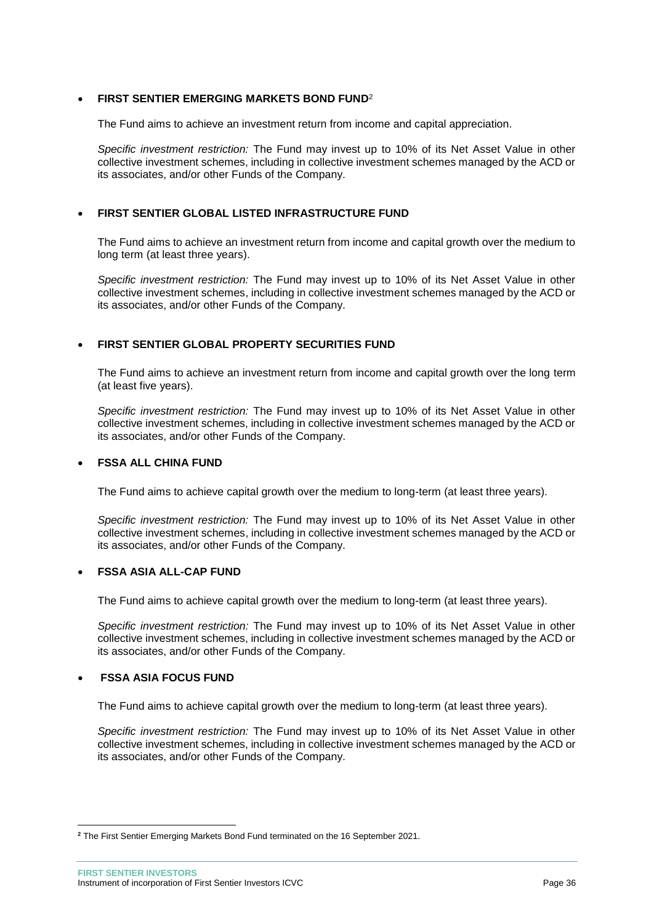#### **FIRST SENTIER EMERGING MARKETS BOND FUND**<sup>2</sup>

The Fund aims to achieve an investment return from income and capital appreciation.

*Specific investment restriction:* The Fund may invest up to 10% of its Net Asset Value in other collective investment schemes, including in collective investment schemes managed by the ACD or its associates, and/or other Funds of the Company.

#### **FIRST SENTIER GLOBAL LISTED INFRASTRUCTURE FUND**

The Fund aims to achieve an investment return from income and capital growth over the medium to long term (at least three years).

*Specific investment restriction:* The Fund may invest up to 10% of its Net Asset Value in other collective investment schemes, including in collective investment schemes managed by the ACD or its associates, and/or other Funds of the Company.

#### **FIRST SENTIER GLOBAL PROPERTY SECURITIES FUND**

The Fund aims to achieve an investment return from income and capital growth over the long term (at least five years).

*Specific investment restriction:* The Fund may invest up to 10% of its Net Asset Value in other collective investment schemes, including in collective investment schemes managed by the ACD or its associates, and/or other Funds of the Company.

#### **FSSA ALL CHINA FUND**

The Fund aims to achieve capital growth over the medium to long-term (at least three years).

*Specific investment restriction:* The Fund may invest up to 10% of its Net Asset Value in other collective investment schemes, including in collective investment schemes managed by the ACD or its associates, and/or other Funds of the Company.

#### **FSSA ASIA ALL-CAP FUND**

The Fund aims to achieve capital growth over the medium to long-term (at least three years).

*Specific investment restriction:* The Fund may invest up to 10% of its Net Asset Value in other collective investment schemes, including in collective investment schemes managed by the ACD or its associates, and/or other Funds of the Company.

#### **FSSA ASIA FOCUS FUND**

 $\overline{a}$ 

The Fund aims to achieve capital growth over the medium to long-term (at least three years).

*Specific investment restriction:* The Fund may invest up to 10% of its Net Asset Value in other collective investment schemes, including in collective investment schemes managed by the ACD or its associates, and/or other Funds of the Company.

**<sup>2</sup>** The First Sentier Emerging Markets Bond Fund terminated on the 16 September 2021.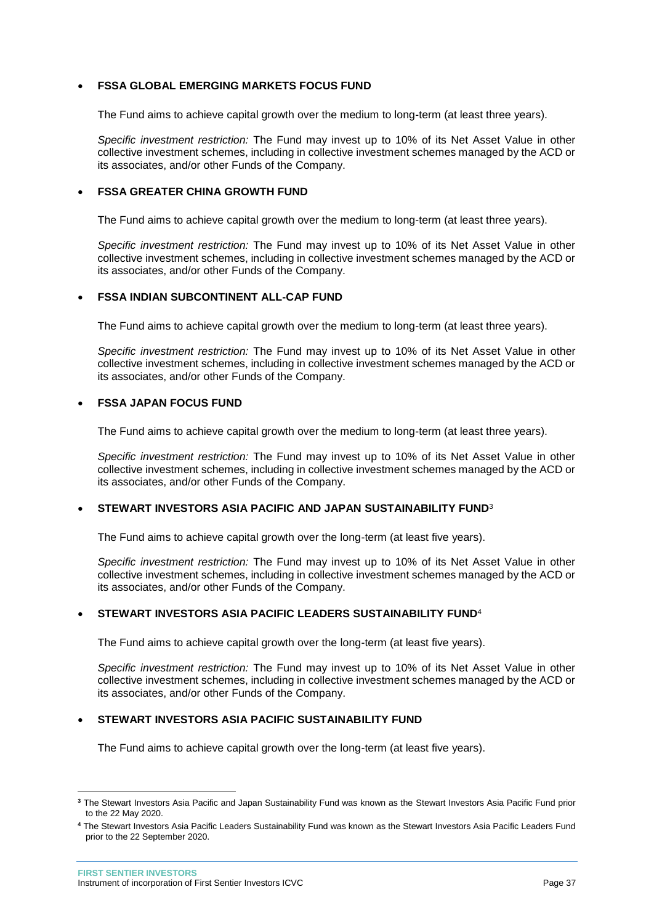#### **FSSA GLOBAL EMERGING MARKETS FOCUS FUND**

The Fund aims to achieve capital growth over the medium to long-term (at least three years).

*Specific investment restriction:* The Fund may invest up to 10% of its Net Asset Value in other collective investment schemes, including in collective investment schemes managed by the ACD or its associates, and/or other Funds of the Company.

#### **FSSA GREATER CHINA GROWTH FUND**

The Fund aims to achieve capital growth over the medium to long-term (at least three years).

*Specific investment restriction:* The Fund may invest up to 10% of its Net Asset Value in other collective investment schemes, including in collective investment schemes managed by the ACD or its associates, and/or other Funds of the Company.

#### **FSSA INDIAN SUBCONTINENT ALL-CAP FUND**

The Fund aims to achieve capital growth over the medium to long-term (at least three years).

*Specific investment restriction:* The Fund may invest up to 10% of its Net Asset Value in other collective investment schemes, including in collective investment schemes managed by the ACD or its associates, and/or other Funds of the Company.

#### **FSSA JAPAN FOCUS FUND**

The Fund aims to achieve capital growth over the medium to long-term (at least three years).

*Specific investment restriction:* The Fund may invest up to 10% of its Net Asset Value in other collective investment schemes, including in collective investment schemes managed by the ACD or its associates, and/or other Funds of the Company.

#### **STEWART INVESTORS ASIA PACIFIC AND JAPAN SUSTAINABILITY FUND**<sup>3</sup>

The Fund aims to achieve capital growth over the long-term (at least five years).

*Specific investment restriction:* The Fund may invest up to 10% of its Net Asset Value in other collective investment schemes, including in collective investment schemes managed by the ACD or its associates, and/or other Funds of the Company.

#### **STEWART INVESTORS ASIA PACIFIC LEADERS SUSTAINABILITY FUND**<sup>4</sup>

The Fund aims to achieve capital growth over the long-term (at least five years).

*Specific investment restriction:* The Fund may invest up to 10% of its Net Asset Value in other collective investment schemes, including in collective investment schemes managed by the ACD or its associates, and/or other Funds of the Company.

#### **STEWART INVESTORS ASIA PACIFIC SUSTAINABILITY FUND**

The Fund aims to achieve capital growth over the long-term (at least five years).

 $\overline{a}$ 

**<sup>3</sup>** The Stewart Investors Asia Pacific and Japan Sustainability Fund was known as the Stewart Investors Asia Pacific Fund prior to the 22 May 2020.

**<sup>4</sup>** The Stewart Investors Asia Pacific Leaders Sustainability Fund was known as the Stewart Investors Asia Pacific Leaders Fund prior to the 22 September 2020.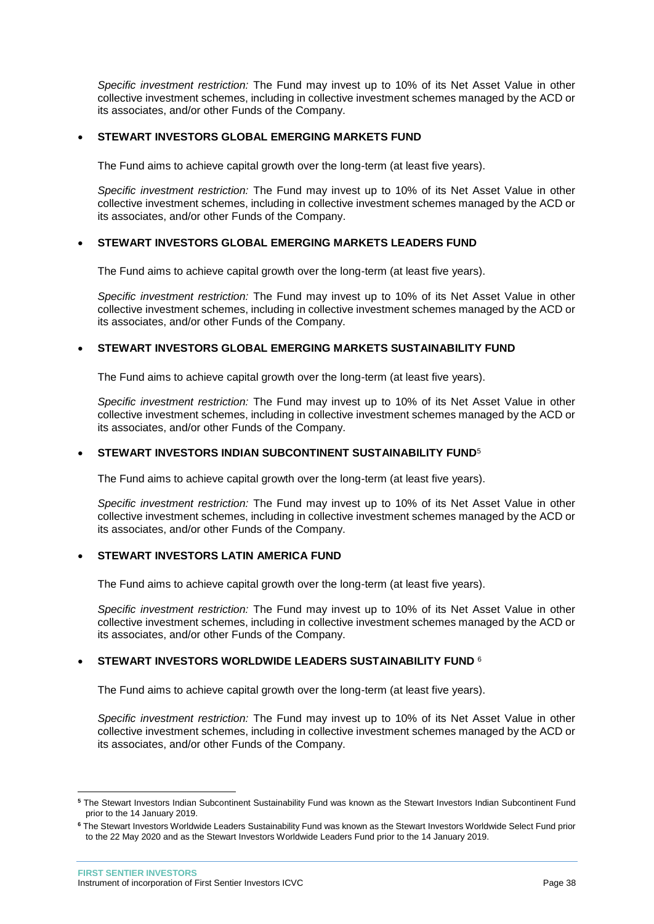*Specific investment restriction:* The Fund may invest up to 10% of its Net Asset Value in other collective investment schemes, including in collective investment schemes managed by the ACD or its associates, and/or other Funds of the Company.

#### **STEWART INVESTORS GLOBAL EMERGING MARKETS FUND**

The Fund aims to achieve capital growth over the long-term (at least five years).

*Specific investment restriction:* The Fund may invest up to 10% of its Net Asset Value in other collective investment schemes, including in collective investment schemes managed by the ACD or its associates, and/or other Funds of the Company.

#### **STEWART INVESTORS GLOBAL EMERGING MARKETS LEADERS FUND**

The Fund aims to achieve capital growth over the long-term (at least five years).

*Specific investment restriction:* The Fund may invest up to 10% of its Net Asset Value in other collective investment schemes, including in collective investment schemes managed by the ACD or its associates, and/or other Funds of the Company.

#### **STEWART INVESTORS GLOBAL EMERGING MARKETS SUSTAINABILITY FUND**

The Fund aims to achieve capital growth over the long-term (at least five years).

*Specific investment restriction:* The Fund may invest up to 10% of its Net Asset Value in other collective investment schemes, including in collective investment schemes managed by the ACD or its associates, and/or other Funds of the Company.

#### **STEWART INVESTORS INDIAN SUBCONTINENT SUSTAINABILITY FUND**<sup>5</sup>

The Fund aims to achieve capital growth over the long-term (at least five years).

*Specific investment restriction:* The Fund may invest up to 10% of its Net Asset Value in other collective investment schemes, including in collective investment schemes managed by the ACD or its associates, and/or other Funds of the Company.

#### **STEWART INVESTORS LATIN AMERICA FUND**

The Fund aims to achieve capital growth over the long-term (at least five years).

*Specific investment restriction:* The Fund may invest up to 10% of its Net Asset Value in other collective investment schemes, including in collective investment schemes managed by the ACD or its associates, and/or other Funds of the Company.

#### **STEWART INVESTORS WORLDWIDE LEADERS SUSTAINABILITY FUND** <sup>6</sup>

The Fund aims to achieve capital growth over the long-term (at least five years).

*Specific investment restriction:* The Fund may invest up to 10% of its Net Asset Value in other collective investment schemes, including in collective investment schemes managed by the ACD or its associates, and/or other Funds of the Company.

 $\overline{a}$ 

**<sup>5</sup>** The Stewart Investors Indian Subcontinent Sustainability Fund was known as the Stewart Investors Indian Subcontinent Fund prior to the 14 January 2019.

**<sup>6</sup>** The Stewart Investors Worldwide Leaders Sustainability Fund was known as the Stewart Investors Worldwide Select Fund prior to the 22 May 2020 and as the Stewart Investors Worldwide Leaders Fund prior to the 14 January 2019.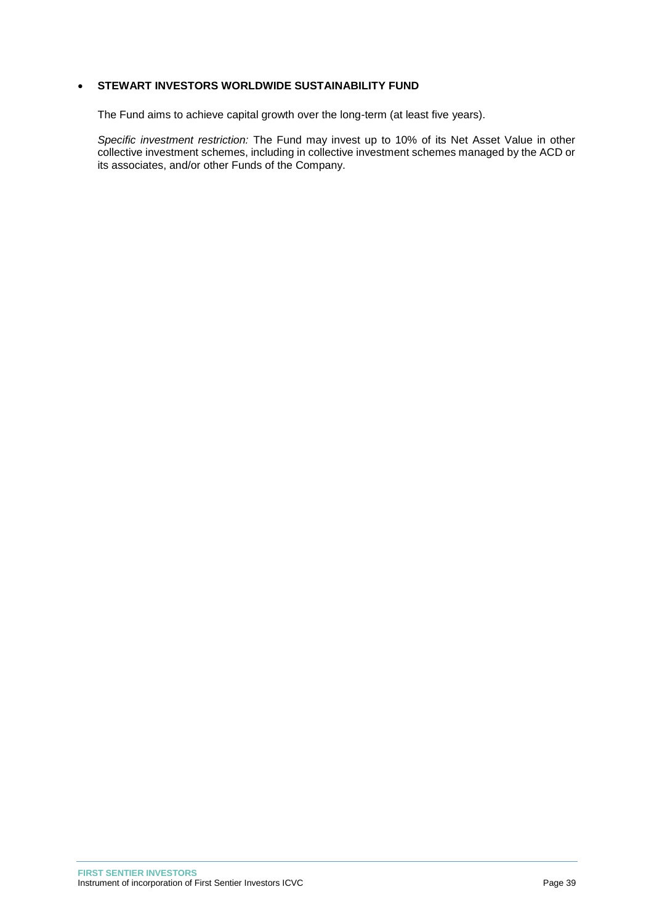#### **• STEWART INVESTORS WORLDWIDE SUSTAINABILITY FUND**

The Fund aims to achieve capital growth over the long-term (at least five years).

*Specific investment restriction:* The Fund may invest up to 10% of its Net Asset Value in other collective investment schemes, including in collective investment schemes managed by the ACD or its associates, and/or other Funds of the Company.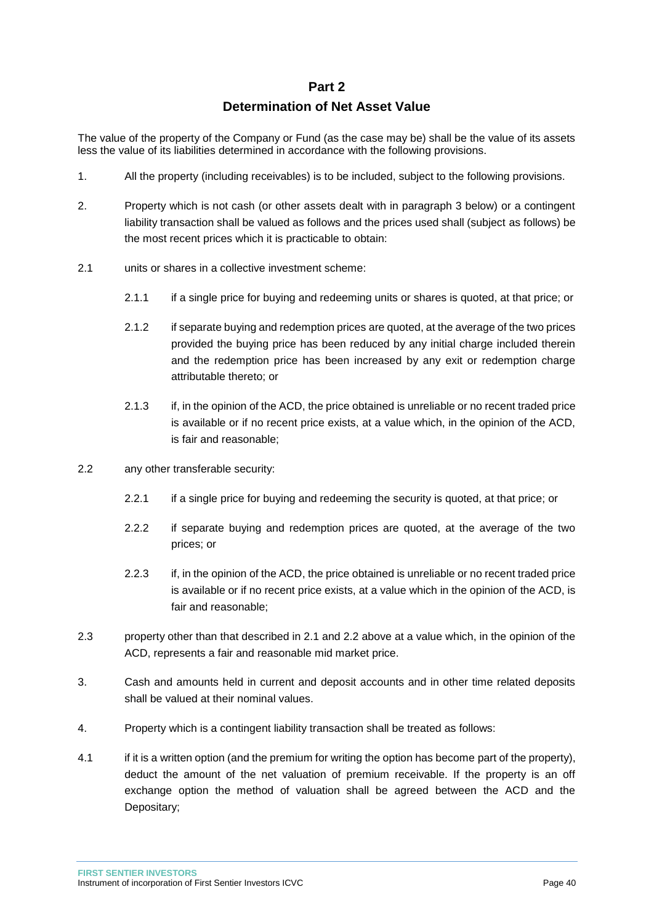#### **Part 2**

### **Determination of Net Asset Value**

<span id="page-40-0"></span>The value of the property of the Company or Fund (as the case may be) shall be the value of its assets less the value of its liabilities determined in accordance with the following provisions.

- 1. All the property (including receivables) is to be included, subject to the following provisions.
- 2. Property which is not cash (or other assets dealt with in paragraph 3 below) or a contingent liability transaction shall be valued as follows and the prices used shall (subject as follows) be the most recent prices which it is practicable to obtain:
- 2.1 units or shares in a collective investment scheme:
	- 2.1.1 if a single price for buying and redeeming units or shares is quoted, at that price; or
	- 2.1.2 if separate buying and redemption prices are quoted, at the average of the two prices provided the buying price has been reduced by any initial charge included therein and the redemption price has been increased by any exit or redemption charge attributable thereto; or
	- 2.1.3 if, in the opinion of the ACD, the price obtained is unreliable or no recent traded price is available or if no recent price exists, at a value which, in the opinion of the ACD, is fair and reasonable;
- 2.2 any other transferable security:
	- 2.2.1 if a single price for buying and redeeming the security is quoted, at that price; or
	- 2.2.2 if separate buying and redemption prices are quoted, at the average of the two prices; or
	- 2.2.3 if, in the opinion of the ACD, the price obtained is unreliable or no recent traded price is available or if no recent price exists, at a value which in the opinion of the ACD, is fair and reasonable;
- 2.3 property other than that described in 2.1 and 2.2 above at a value which, in the opinion of the ACD, represents a fair and reasonable mid market price.
- 3. Cash and amounts held in current and deposit accounts and in other time related deposits shall be valued at their nominal values.
- 4. Property which is a contingent liability transaction shall be treated as follows:
- 4.1 if it is a written option (and the premium for writing the option has become part of the property), deduct the amount of the net valuation of premium receivable. If the property is an off exchange option the method of valuation shall be agreed between the ACD and the Depositary;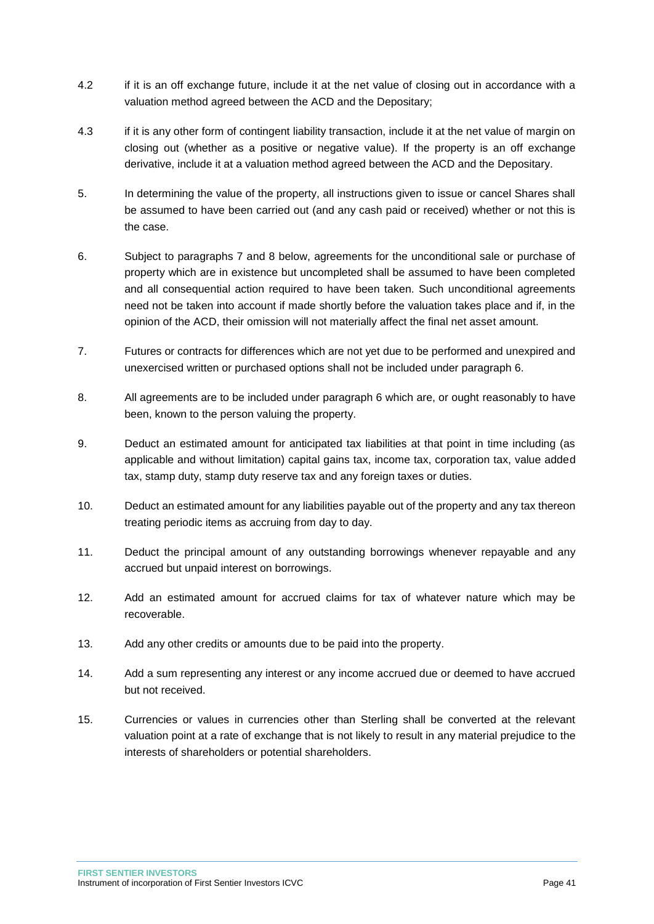- 4.2 if it is an off exchange future, include it at the net value of closing out in accordance with a valuation method agreed between the ACD and the Depositary;
- 4.3 if it is any other form of contingent liability transaction, include it at the net value of margin on closing out (whether as a positive or negative value). If the property is an off exchange derivative, include it at a valuation method agreed between the ACD and the Depositary.
- 5. In determining the value of the property, all instructions given to issue or cancel Shares shall be assumed to have been carried out (and any cash paid or received) whether or not this is the case.
- 6. Subject to paragraphs 7 and 8 below, agreements for the unconditional sale or purchase of property which are in existence but uncompleted shall be assumed to have been completed and all consequential action required to have been taken. Such unconditional agreements need not be taken into account if made shortly before the valuation takes place and if, in the opinion of the ACD, their omission will not materially affect the final net asset amount.
- 7. Futures or contracts for differences which are not yet due to be performed and unexpired and unexercised written or purchased options shall not be included under paragraph 6.
- 8. All agreements are to be included under paragraph 6 which are, or ought reasonably to have been, known to the person valuing the property.
- 9. Deduct an estimated amount for anticipated tax liabilities at that point in time including (as applicable and without limitation) capital gains tax, income tax, corporation tax, value added tax, stamp duty, stamp duty reserve tax and any foreign taxes or duties.
- 10. Deduct an estimated amount for any liabilities payable out of the property and any tax thereon treating periodic items as accruing from day to day.
- 11. Deduct the principal amount of any outstanding borrowings whenever repayable and any accrued but unpaid interest on borrowings.
- 12. Add an estimated amount for accrued claims for tax of whatever nature which may be recoverable.
- 13. Add any other credits or amounts due to be paid into the property.
- 14. Add a sum representing any interest or any income accrued due or deemed to have accrued but not received.
- 15. Currencies or values in currencies other than Sterling shall be converted at the relevant valuation point at a rate of exchange that is not likely to result in any material prejudice to the interests of shareholders or potential shareholders.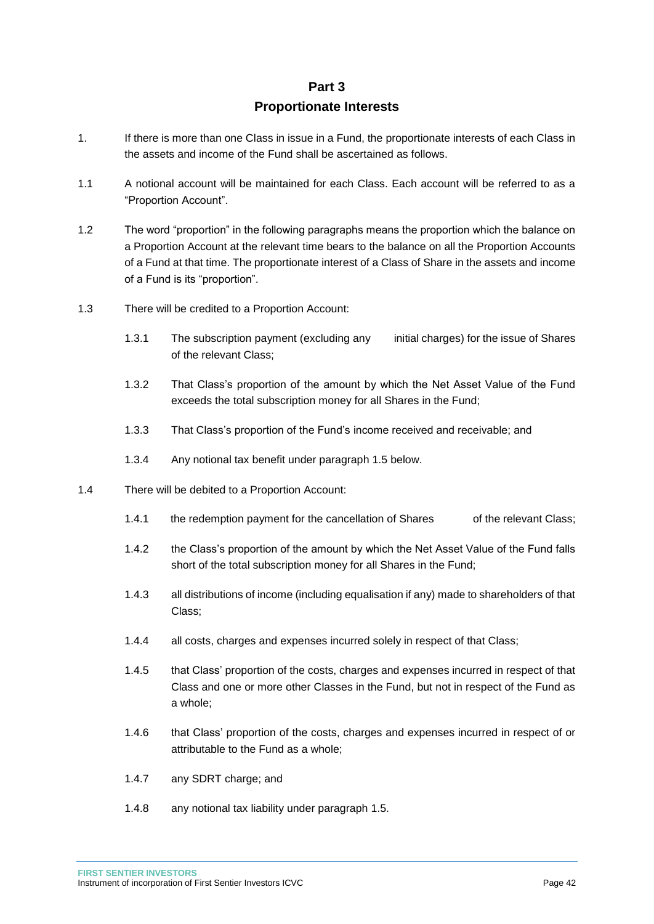### **Part 3**

### **Proportionate Interests**

- <span id="page-42-0"></span>1. If there is more than one Class in issue in a Fund, the proportionate interests of each Class in the assets and income of the Fund shall be ascertained as follows.
- 1.1 A notional account will be maintained for each Class. Each account will be referred to as a "Proportion Account".
- 1.2 The word "proportion" in the following paragraphs means the proportion which the balance on a Proportion Account at the relevant time bears to the balance on all the Proportion Accounts of a Fund at that time. The proportionate interest of a Class of Share in the assets and income of a Fund is its "proportion".
- 1.3 There will be credited to a Proportion Account:
	- 1.3.1 The subscription payment (excluding any initial charges) for the issue of Shares of the relevant Class;
	- 1.3.2 That Class's proportion of the amount by which the Net Asset Value of the Fund exceeds the total subscription money for all Shares in the Fund;
	- 1.3.3 That Class's proportion of the Fund's income received and receivable; and
	- 1.3.4 Any notional tax benefit under paragraph 1.5 below.
- 1.4 There will be debited to a Proportion Account:
	- 1.4.1 the redemption payment for the cancellation of Shares of the relevant Class;
	- 1.4.2 the Class's proportion of the amount by which the Net Asset Value of the Fund falls short of the total subscription money for all Shares in the Fund;
	- 1.4.3 all distributions of income (including equalisation if any) made to shareholders of that Class;
	- 1.4.4 all costs, charges and expenses incurred solely in respect of that Class;
	- 1.4.5 that Class' proportion of the costs, charges and expenses incurred in respect of that Class and one or more other Classes in the Fund, but not in respect of the Fund as a whole;
	- 1.4.6 that Class' proportion of the costs, charges and expenses incurred in respect of or attributable to the Fund as a whole;
	- 1.4.7 any SDRT charge; and
	- 1.4.8 any notional tax liability under paragraph 1.5.